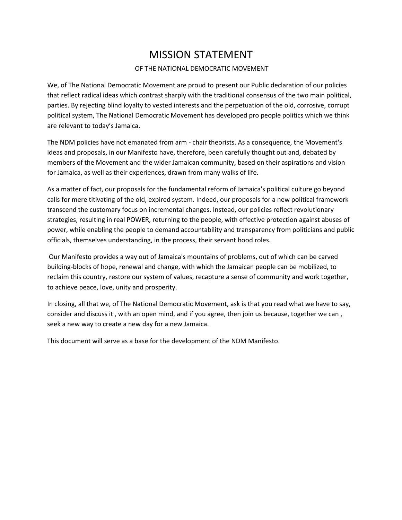# MISSION STATEMENT

#### OF THE NATIONAL DEMOCRATIC MOVEMENT

We, of The National Democratic Movement are proud to present our Public declaration of our policies that reflect radical ideas which contrast sharply with the traditional consensus of the two main political, parties. By rejecting blind loyalty to vested interests and the perpetuation of the old, corrosive, corrupt political system, The National Democratic Movement has developed pro people politics which we think are relevant to today's Jamaica.

The NDM policies have not emanated from arm - chair theorists. As a consequence, the Movement's ideas and proposals, in our Manifesto have, therefore, been carefully thought out and, debated by members of the Movement and the wider Jamaican community, based on their aspirations and vision for Jamaica, as well as their experiences, drawn from many walks of life.

As a matter of fact, our proposals for the fundamental reform of Jamaica's political culture go beyond calls for mere titivating of the old, expired system. Indeed, our proposals for a new political framework transcend the customary focus on incremental changes. Instead, our policies reflect revolutionary strategies, resulting in real POWER, returning to the people, with effective protection against abuses of power, while enabling the people to demand accountability and transparency from politicians and public officials, themselves understanding, in the process, their servant hood roles.

Our Manifesto provides a way out of Jamaica's mountains of problems, out of which can be carved building-blocks of hope, renewal and change, with which the Jamaican people can be mobilized, to reclaim this country, restore our system of values, recapture a sense of community and work together, to achieve peace, love, unity and prosperity.

In closing, all that we, of The National Democratic Movement, ask is that you read what we have to say, consider and discuss it , with an open mind, and if you agree, then join us because, together we can , seek a new way to create a new day for a new Jamaica.

This document will serve as a base for the development of the NDM Manifesto.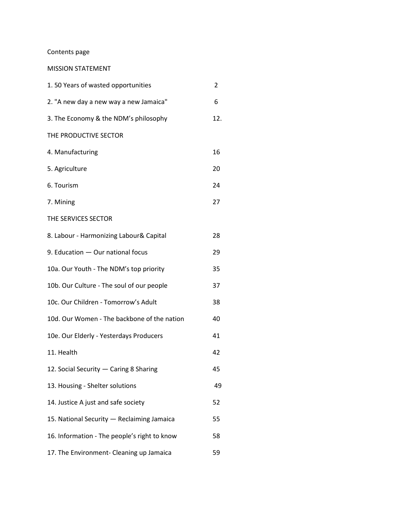## Contents page

## MISSION STATEMENT

| 1.50 Years of wasted opportunities           | 2   |
|----------------------------------------------|-----|
| 2. "A new day a new way a new Jamaica"       | 6   |
| 3. The Economy & the NDM's philosophy        | 12. |
| THE PRODUCTIVE SECTOR                        |     |
| 4. Manufacturing                             | 16  |
| 5. Agriculture                               | 20  |
| 6. Tourism                                   | 24  |
| 7. Mining                                    | 27  |
| THE SERVICES SECTOR                          |     |
| 8. Labour - Harmonizing Labour& Capital      | 28  |
| 9. Education - Our national focus            | 29  |
| 10a. Our Youth - The NDM's top priority      | 35  |
| 10b. Our Culture - The soul of our people    | 37  |
| 10c. Our Children - Tomorrow's Adult         | 38  |
| 10d. Our Women - The backbone of the nation  | 40  |
| 10e. Our Elderly - Yesterdays Producers      | 41  |
| 11. Health                                   | 42  |
| 12. Social Security - Caring 8 Sharing       | 45  |
| 13. Housing - Shelter solutions              | 49  |
| 14. Justice A just and safe society          | 52  |
| 15. National Security - Reclaiming Jamaica   | 55  |
| 16. Information - The people's right to know | 58  |
| 17. The Environment- Cleaning up Jamaica     | 59  |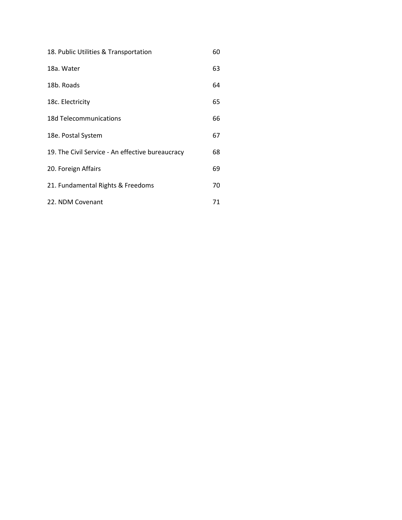| 18. Public Utilities & Transportation            | 60 |
|--------------------------------------------------|----|
| 18a. Water                                       | 63 |
| 18b. Roads                                       | 64 |
| 18c. Electricity                                 | 65 |
| 18d Telecommunications                           | 66 |
| 18e. Postal System                               | 67 |
| 19. The Civil Service - An effective bureaucracy | 68 |
| 20. Foreign Affairs                              | 69 |
| 21. Fundamental Rights & Freedoms                | 70 |
| 22. NDM Covenant                                 | 71 |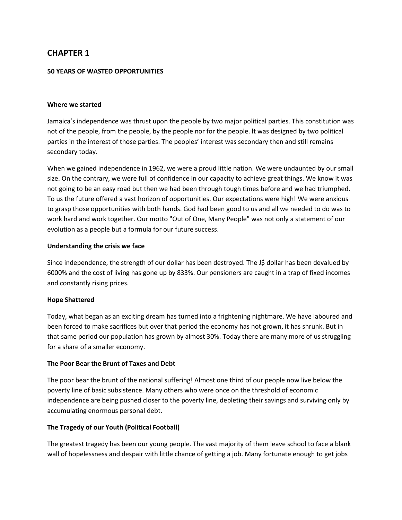#### **50 YEARS OF WASTED OPPORTUNITIES**

#### **Where we started**

Jamaica's independence was thrust upon the people by two major political parties. This constitution was not of the people, from the people, by the people nor for the people. lt was designed by two political parties in the interest of those parties. The peoples' interest was secondary then and still remains secondary today.

When we gained independence in 1962, we were a proud little nation. We were undaunted by our small size. On the contrary, we were full of confidence in our capacity to achieve great things. We know it was not going to be an easy road but then we had been through tough times before and we had triumphed. To us the future offered a vast horizon of opportunities. Our expectations were high! We were anxious to grasp those opportunities with both hands. God had been good to us and all we needed to do was to work hard and work together. Our motto "Out of One, Many People" was not only a statement of our evolution as a people but a formula for our future success.

#### **Understanding the crisis we face**

Since independence, the strength of our dollar has been destroyed. The J\$ dollar has been devalued by 6000% and the cost of living has gone up by 833%. Our pensioners are caught in a trap of fixed incomes and constantly rising prices.

#### **Hope Shattered**

Today, what began as an exciting dream has turned into a frightening nightmare. We have laboured and been forced to make sacrifices but over that period the economy has not grown, it has shrunk. But in that same period our population has grown by almost 30%. Today there are many more of us struggling for a share of a smaller economy.

#### **The Poor Bear the Brunt of Taxes and Debt**

The poor bear the brunt of the national suffering! Almost one third of our people now live below the poverty line of basic subsistence. Many others who were once on the threshold of economic independence are being pushed closer to the poverty line, depleting their savings and surviving only by accumulating enormous personal debt.

#### **The Tragedy of our Youth (Political Football)**

The greatest tragedy has been our young people. The vast majority of them leave school to face a blank wall of hopelessness and despair with little chance of getting a job. Many fortunate enough to get jobs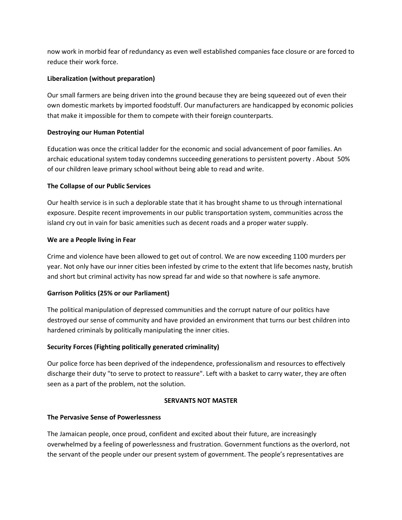now work in morbid fear of redundancy as even well established companies face closure or are forced to reduce their work force.

## **Liberalization (without preparation)**

Our small farmers are being driven into the ground because they are being squeezed out of even their own domestic markets by imported foodstuff. Our manufacturers are handicapped by economic policies that make it impossible for them to compete with their foreign counterparts.

## **Destroying our Human Potential**

Education was once the critical ladder for the economic and social advancement of poor families. An archaic educational system today condemns succeeding generations to persistent poverty . About 50% of our children leave primary school without being able to read and write.

## **The Collapse of our Public Services**

Our health service is in such a deplorable state that it has brought shame to us through international exposure. Despite recent improvements in our public transportation system, communities across the island cry out in vain for basic amenities such as decent roads and a proper water supply.

## **We are a People living in Fear**

Crime and violence have been allowed to get out of control. We are now exceeding 1100 murders per year. Not only have our inner cities been infested by crime to the extent that life becomes nasty, brutish and short but criminal activity has now spread far and wide so that nowhere is safe anymore.

## **Garrison Politics (25% or our Parliament)**

The political manipulation of depressed communities and the corrupt nature of our politics have destroyed our sense of community and have provided an environment that turns our best children into hardened criminals by politically manipulating the inner cities.

## **Security Forces (Fighting politically generated criminality)**

Our police force has been deprived of the independence, professionalism and resources to effectively discharge their duty "to serve to protect to reassure". Left with a basket to carry water, they are often seen as a part of the problem, not the solution.

## **SERVANTS NOT MASTER**

## **The Pervasive Sense of Powerlessness**

The Jamaican people, once proud, confident and excited about their future, are increasingly overwhelmed by a feeling of powerlessness and frustration. Government functions as the overlord, not the servant of the people under our present system of government. The people's representatives are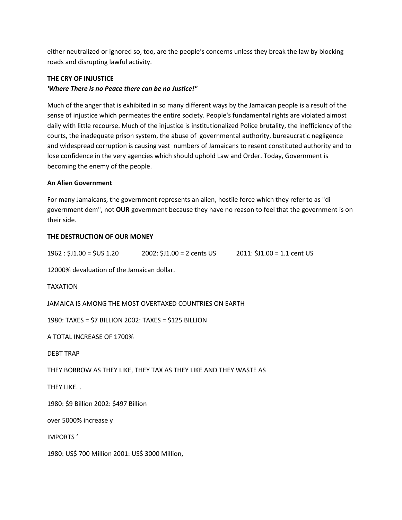either neutralized or ignored so, too, are the people's concerns unless they break the law by blocking roads and disrupting lawful activity.

#### **THE CRY OF INJUSTICE**

#### *'Where There is no Peace there can be no Justice!"*

Much of the anger that is exhibited in so many different ways by the Jamaican people is a result of the sense of injustice which permeates the entire society. People's fundamental rights are violated almost daily with little recourse. Much of the injustice is institutionalized Police brutality, the inefficiency of the courts, the inadequate prison system, the abuse of governmental authority, bureaucratic negligence and widespread corruption is causing vast numbers of Jamaicans to resent constituted authority and to lose confidence in the very agencies which should uphold Law and Order. Today, Government is becoming the enemy of the people.

#### **An Alien Government**

For many Jamaicans, the government represents an alien, hostile force which they refer to as "di government dem", not **OUR** government because they have no reason to feel that the government is on their side.

#### **THE DESTRUCTION OF OUR MONEY**

| $1962: $J1.00 = $US 1.20$ | $2002: $J1.00 = 2 \text{ cents } US$ | $2011: $J1.00 = 1.1$ cent US |
|---------------------------|--------------------------------------|------------------------------|
|---------------------------|--------------------------------------|------------------------------|

12000% devaluation of the Jamaican dollar.

#### TAXATION

JAMAICA IS AMONG THE MOST OVERTAXED COUNTRIES ON EARTH

1980: TAXES = \$7 BILLION 2002: TAXES = \$125 BILLION

A TOTAL INCREASE OF 1700%

DEBT TRAP

THEY BORROW AS THEY LIKE, THEY TAX AS THEY LIKE AND THEY WASTE AS

THEY LIKE. .

1980: \$9 Billion 2002: \$497 Billion

over 5000% increase y

IMPORTS '

1980: US\$ 700 Million 2001: US\$ 3000 Million,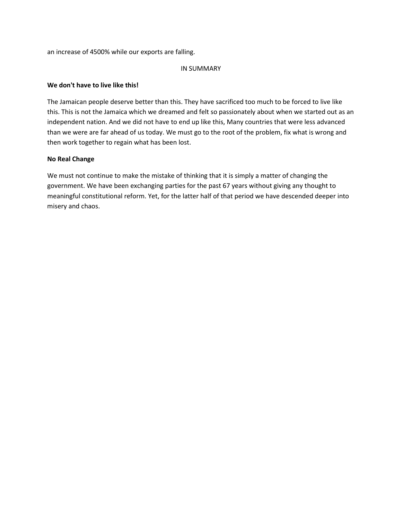an increase of 4500% while our exports are falling.

#### IN SUMMARY

#### **We don't have to live like this!**

The Jamaican people deserve better than this. They have sacrificed too much to be forced to live like this. This is not the Jamaica which we dreamed and felt so passionately about when we started out as an independent nation. And we did not have to end up like this, Many countries that were less advanced than we were are far ahead of us today. We must go to the root of the problem, fix what is wrong and then work together to regain what has been lost.

#### **No Real Change**

We must not continue to make the mistake of thinking that it is simply a matter of changing the government. We have been exchanging parties for the past 67 years without giving any thought to meaningful constitutional reform. Yet, for the latter half of that period we have descended deeper into misery and chaos.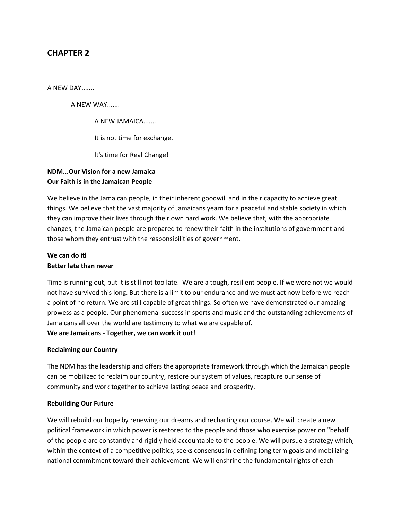A NEW DAY.......

A NEW WAY.......

A NEW JAMAICA.......

It is not time for exchange.

lt's time for Real Change!

## **NDM...Our Vision for a new Jamaica Our Faith is in the Jamaican People**

We believe in the Jamaican people, in their inherent goodwill and in their capacity to achieve great things. We believe that the vast majority of Jamaicans yearn for a peaceful and stable society in which they can improve their lives through their own hard work. We believe that, with the appropriate changes, the Jamaican people are prepared to renew their faith in the institutions of government and those whom they entrust with the responsibilities of government.

## **We can do itl Better late than never**

Time is running out, but it is still not too late. We are a tough, resilient people. If we were not we would not have survived this long. But there is a limit to our endurance and we must act now before we reach a point of no return. We are still capable of great things. So often we have demonstrated our amazing prowess as a people. Our phenomenal success in sports and music and the outstanding achievements of Jamaicans all over the world are testimony to what we are capable of.

**We are Jamaicans - Together, we can work it out!**

#### **Reclaiming our Country**

The NDM has the leadership and offers the appropriate framework through which the Jamaican people can be mobilized to reclaim our country, restore our system of values, recapture our sense of community and work together to achieve lasting peace and prosperity.

#### **Rebuilding Our Future**

We will rebuild our hope by renewing our dreams and recharting our course. We will create a new political framework in which power is restored to the people and those who exercise power on "behalf of the people are constantly and rigidly held accountable to the people. We will pursue a strategy which, within the context of a competitive politics, seeks consensus in defining long term goals and mobilizing national commitment toward their achievement. We will enshrine the fundamental rights of each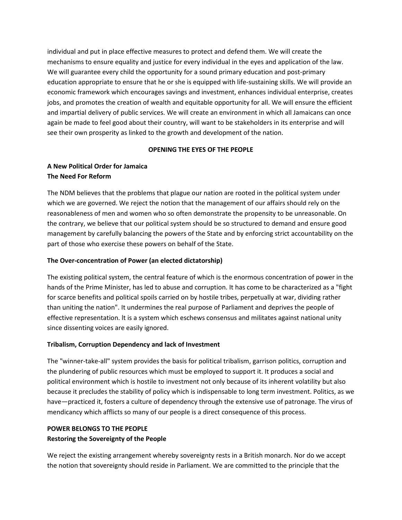individual and put in place effective measures to protect and defend them. We will create the mechanisms to ensure equality and justice for every individual in the eyes and application of the law. We will guarantee every child the opportunity for a sound primary education and post-primary education appropriate to ensure that he or she is equipped with life-sustaining skills. We will provide an economic framework which encourages savings and investment, enhances individual enterprise, creates jobs, and promotes the creation of wealth and equitable opportunity for all. We will ensure the efficient and impartial delivery of public services. We will create an environment in which all Jamaicans can once again be made to feel good about their country, will want to be stakeholders in its enterprise and will see their own prosperity as linked to the growth and development of the nation.

#### **OPENING THE EYES OF THE PEOPLE**

## **A New Political Order for Jamaica The Need For Reform**

The NDM believes that the problems that plague our nation are rooted in the political system under which we are governed. We reject the notion that the management of our affairs should rely on the reasonableness of men and women who so often demonstrate the propensity to be unreasonable. On the contrary, we believe that our political system should be so structured to demand and ensure good management by carefully balancing the powers of the State and by enforcing strict accountability on the part of those who exercise these powers on behalf of the State.

## **The Over-concentration of Power (an elected dictatorship)**

The existing political system, the central feature of which is the enormous concentration of power in the hands of the Prime Minister, has led to abuse and corruption. It has come to be characterized as a "fight for scarce benefits and political spoils carried on by hostile tribes, perpetually at war, dividing rather than uniting the nation". It undermines the real purpose of Parliament and deprives the people of effective representation. lt is a system which eschews consensus and militates against national unity since dissenting voices are easily ignored.

## **Tribalism, Corruption Dependency and lack of Investment**

The "winner-take-all" system provides the basis for political tribalism, garrison politics, corruption and the plundering of public resources which must be employed to support it. It produces a social and political environment which is hostile to investment not only because of its inherent volatility but also because it precludes the stability of policy which is indispensable to long term investment. Politics, as we have—practiced it, fosters a culture of dependency through the extensive use of patronage. The virus of mendicancy which afflicts so many of our people is a direct consequence of this process.

## **POWER BELONGS TO THE PEOPLE**

#### **Restoring the Sovereignty of the People**

We reject the existing arrangement whereby sovereignty rests in a British monarch. Nor do we accept the notion that sovereignty should reside in Parliament. We are committed to the principle that the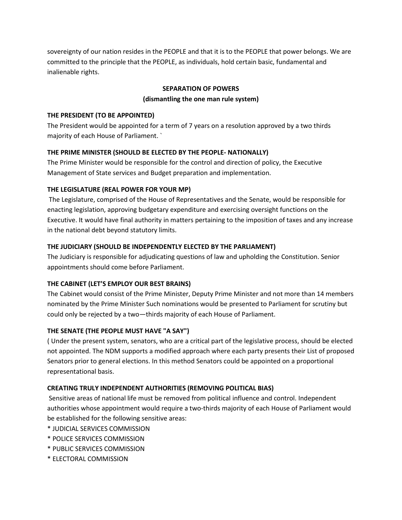sovereignty of our nation resides in the PEOPLE and that it is to the PEOPLE that power belongs. We are committed to the principle that the PEOPLE, as individuals, hold certain basic, fundamental and inalienable rights.

### **SEPARATION OF POWERS**

#### **(dismantling the one man rule system)**

#### **THE PRESIDENT (TO BE APPOINTED)**

The President would be appointed for a term of 7 years on a resolution approved by a two thirds majority of each House of Parliament. `

## **THE PRIME MINISTER (SHOULD BE ELECTED BY THE PEOPLE- NATIONALLY)**

The Prime Minister would be responsible for the control and direction of policy, the Executive Management of State services and Budget preparation and implementation.

#### **THE LEGISLATURE (REAL POWER FOR YOUR MP)**

The Legislature, comprised of the House of Representatives and the Senate, would be responsible for enacting legislation, approving budgetary expenditure and exercising oversight functions on the Executive. It would have final authority in matters pertaining to the imposition of taxes and any increase in the national debt beyond statutory limits.

## **THE JUDICIARY (SHOULD BE INDEPENDENTLY ELECTED BY THE PARLIAMENT)**

The Judiciary is responsible for adjudicating questions of law and upholding the Constitution. Senior appointments should come before Parliament.

## **THE CABINET (LET'S EMPLOY OUR BEST BRAINS)**

The Cabinet would consist of the Prime Minister, Deputy Prime Minister and not more than 14 members nominated by the Prime Minister Such nominations would be presented to Parliament for scrutiny but could only be rejected by a two—thirds majority of each House of Parliament.

## **THE SENATE (THE PEOPLE MUST HAVE "A SAY")**

( Under the present system, senators, who are a critical part of the legislative process, should be elected not appointed. The NDM supports a modified approach where each party presents their List of proposed Senators prior to general elections. In this method Senators could be appointed on a proportional representational basis.

## **CREATING TRULY INDEPENDENT AUTHORITIES (REMOVING POLITICAL BIAS)**

Sensitive areas of national life must be removed from political influence and control. Independent authorities whose appointment would require a two-thirds majority of each House of Parliament would be established for the following sensitive areas:

- \* JUDICIAL SERVICES COMMISSION
- \* POLICE SERVICES COMMISSION
- \* PUBLIC SERVICES COMMISSION
- \* ELECTORAL COMMISSION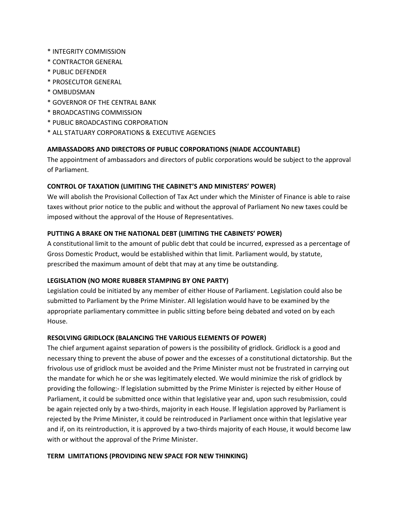- \* INTEGRITY COMMISSION
- \* CONTRACTOR GENERAL
- \* PUBLIC DEFENDER
- \* PROSECUTOR GENERAL
- \* OMBUDSMAN
- \* GOVERNOR OF THE CENTRAL BANK
- \* BROADCASTING COMMISSION
- \* PUBLIC BROADCASTING CORPORATION
- \* ALL STATUARY CORPORATIONS & EXECUTIVE AGENCIES

## **AMBASSADORS AND DIRECTORS OF PUBLIC CORPORATIONS (NIADE ACCOUNTABLE)**

The appointment of ambassadors and directors of public corporations would be subject to the approval of Parliament.

## **CONTROL OF TAXATION (LIMITING THE CABINET'S AND MINISTERS' POWER)**

We will abolish the Provisional Collection of Tax Act under which the Minister of Finance is able to raise taxes without prior notice to the public and without the approval of Parliament No new taxes could be imposed without the approval of the House of Representatives.

## **PUTTING A BRAKE ON THE NATIONAL DEBT (LIMITING THE CABINETS' POWER)**

A constitutional limit to the amount of public debt that could be incurred, expressed as a percentage of Gross Domestic Product, would be established within that limit. Parliament would, by statute, prescribed the maximum amount of debt that may at any time be outstanding.

## **LEGISLATION (NO MORE RUBBER STAMPING BY ONE PARTY)**

Legislation could be initiated by any member of either House of Parliament. Legislation could also be submitted to Parliament by the Prime Minister. All legislation would have to be examined by the appropriate parliamentary committee in public sitting before being debated and voted on by each House.

## **RESOLVING GRIDLOCK (BALANCING THE VARIOUS ELEMENTS OF POWER)**

The chief argument against separation of powers is the possibility of gridlock. Gridlock is a good and necessary thing to prevent the abuse of power and the excesses of a constitutional dictatorship. But the frivolous use of gridlock must be avoided and the Prime Minister must not be frustrated in carrying out the mandate for which he or she was legitimately elected. We would minimize the risk of gridlock by providing the following:- lf legislation submitted by the Prime Minister is rejected by either House of Parliament, it could be submitted once within that legislative year and, upon such resubmission, could be again rejected only by a two-thirds, majority in each House. lf legislation approved by Parliament is rejected by the Prime Minister, it could be reintroduced in Parliament once within that legislative year and if, on its reintroduction, it is approved by a two-thirds majority of each House, it would become law with or without the approval of the Prime Minister.

#### **TERM LIMITATIONS (PROVIDING NEW SPACE FOR NEW THINKING)**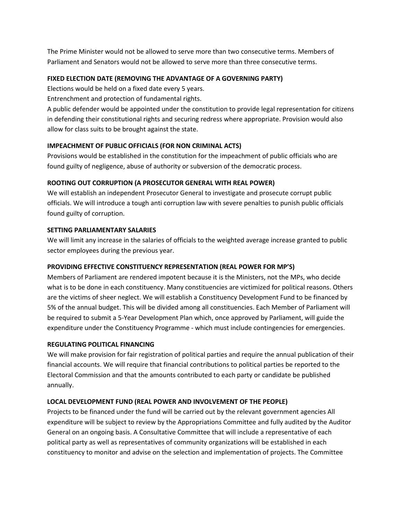The Prime Minister would not be allowed to serve more than two consecutive terms. Members of Parliament and Senators would not be allowed to serve more than three consecutive terms.

#### **FIXED ELECTION DATE (REMOVING THE ADVANTAGE OF A GOVERNING PARTY)**

Elections would be held on a fixed date every 5 years.

Entrenchment and protection of fundamental rights.

A public defender would be appointed under the constitution to provide legal representation for citizens in defending their constitutional rights and securing redress where appropriate. Provision would also allow for class suits to be brought against the state.

## **IMPEACHMENT OF PUBLIC OFFICIALS (FOR NON CRIMINAL ACTS)**

Provisions would be established in the constitution for the impeachment of public officials who are found guilty of negligence, abuse of authority or subversion of the democratic process.

#### **ROOTING OUT CORRUPTION (A PROSECUTOR GENERAL WITH REAL POWER)**

We will establish an independent Prosecutor General to investigate and prosecute corrupt public officials. We will introduce a tough anti corruption law with severe penalties to punish public officials found guilty of corruption.

#### **SETTING PARLIAMENTARY SALARIES**

We will limit any increase in the salaries of officials to the weighted average increase granted to public sector employees during the previous year.

## **PROVIDING EFFECTIVE CONSTITUENCY REPRESENTATION (REAL POWER FOR MP'S)**

Members of Parliament are rendered impotent because it is the Ministers, not the MPs, who decide what is to be done in each constituency. Many constituencies are victimized for political reasons. Others are the victims of sheer neglect. We will establish a Constituency Development Fund to be financed by 5% of the annual budget. This will be divided among all constituencies. Each Member of Parliament will be required to submit a 5-Year Development Plan which, once approved by Parliament, will guide the expenditure under the Constituency Programme - which must include contingencies for emergencies.

## **REGULATING POLITICAL FINANCING**

We will make provision for fair registration of political parties and require the annual publication of their financial accounts. We will require that financial contributions to political parties be reported to the Electoral Commission and that the amounts contributed to each party or candidate be published annually.

## **LOCAL DEVELOPMENT FUND (REAL POWER AND INVOLVEMENT OF THE PEOPLE)**

Projects to be financed under the fund will be carried out by the relevant government agencies All expenditure will be subject to review by the Appropriations Committee and fully audited by the Auditor General on an ongoing basis. A Consultative Committee that will include a representative of each political party as well as representatives of community organizations will be established in each constituency to monitor and advise on the selection and implementation of projects. The Committee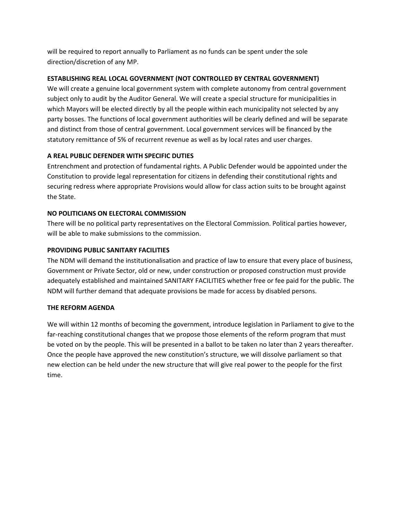will be required to report annually to Parliament as no funds can be spent under the sole direction/discretion of any MP.

## **ESTABLISHING REAL LOCAL GOVERNMENT (NOT CONTROLLED BY CENTRAL GOVERNMENT)**

We will create a genuine local government system with complete autonomy from central government subject only to audit by the Auditor General. We will create a special structure for municipalities in which Mayors will be elected directly by all the people within each municipality not selected by any party bosses. The functions of local government authorities will be clearly defined and will be separate and distinct from those of central government. Local government services will be financed by the statutory remittance of 5% of recurrent revenue as well as by local rates and user charges.

## **A REAL PUBLIC DEFENDER WITH SPECIFIC DUTIES**

Entrenchment and protection of fundamental rights. A Public Defender would be appointed under the Constitution to provide legal representation for citizens in defending their constitutional rights and securing redress where appropriate Provisions would allow for class action suits to be brought against the State.

## **NO POLITICIANS ON ELECTORAL COMMISSION**

There will be no political party representatives on the Electoral Commission. Political parties however, will be able to make submissions to the commission.

## **PROVIDING PUBLIC SANITARY FACILITIES**

The NDM will demand the institutionalisation and practice of law to ensure that every place of business, Government or Private Sector, old or new, under construction or proposed construction must provide adequately established and maintained SANITARY FACILITIES whether free or fee paid for the public. The NDM will further demand that adequate provisions be made for access by disabled persons.

## **THE REFORM AGENDA**

We will within 12 months of becoming the government, introduce legislation in Parliament to give to the far-reaching constitutional changes that we propose those elements of the reform program that must be voted on by the people. This will be presented in a ballot to be taken no later than 2 years thereafter. Once the people have approved the new constitution's structure, we will dissolve parliament so that new election can be held under the new structure that will give real power to the people for the first time.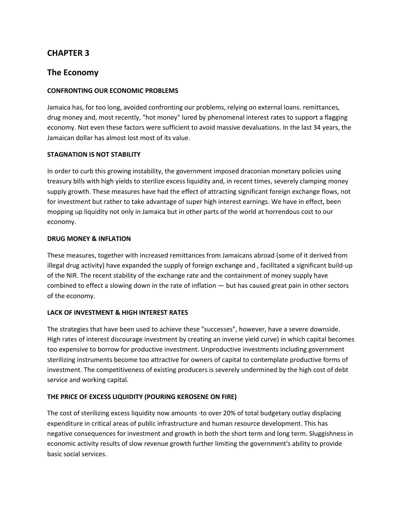## **The Economy**

#### **CONFRONTING OUR ECONOMIC PROBLEMS**

Jamaica has, for too long, avoided confronting our problems, relying on external loans. remittances, drug money and, most recently, "hot money" lured by phenomenal interest rates to support a flagging economy. Not even these factors were sufficient to avoid massive devaluations. In the last 34 years, the Jamaican dollar has almost lost most of its value.

#### **STAGNATION IS NOT STABILITY**

In order to curb this growing instability, the government imposed draconian monetary policies using treasury bills with high yields to sterilize excess liquidity and, in recent times, severely clamping money supply growth. These measures have had the effect of attracting significant foreign exchange flows, not for investment but rather to take advantage of super high interest earnings. We have in effect, been mopping up liquidity not only in Jamaica but in other parts of the world at horrendous cost to our economy.

#### **DRUG MONEY & INFLATION**

These measures, together with increased remittances from Jamaicans abroad (some of it derived from illegal drug activity) have expanded the supply of foreign exchange and , facilitated a significant build-up of the NIR. The recent stability of the exchange rate and the containment of money supply have combined to effect a slowing down in the rate of inflation — but has caused great pain in other sectors of the economy.

#### **LACK OF INVESTMENT & HIGH INTEREST RATES**

The strategies that have been used to achieve these "successes", however, have a severe downside. High rates of interest discourage investment by creating an inverse yield curve) in which capital becomes too expensive to borrow for productive investment. Unproductive investments including government sterilizing instruments become too attractive for owners of capital to contemplate productive forms of investment. The competitiveness of existing producers is severely undermined by the high cost of debt service and working capital.

#### **THE PRICE OF EXCESS LIQUIDITY (POURING KEROSENE ON FIRE)**

The cost of sterilizing excess liquidity now amounts ·to over 20% of total budgetary outlay displacing expenditure in critical areas of public infrastructure and human resource development. This has negative consequences for investment and growth in both the short term and long term. Sluggishness in economic activity results of slow revenue growth further limiting the government's ability to provide basic social services.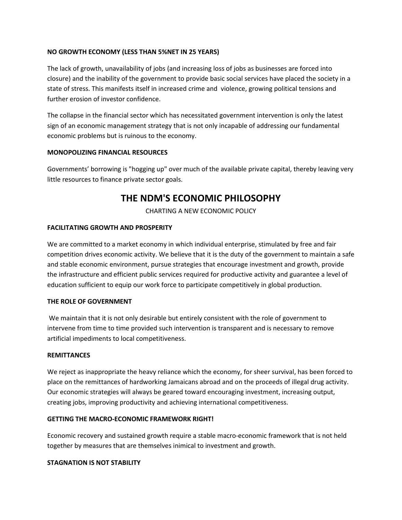#### **NO GROWTH ECONOMY (LESS THAN 5%NET IN 25 YEARS)**

The lack of growth, unavailability of jobs (and increasing loss of jobs as businesses are forced into closure) and the inability of the government to provide basic social services have placed the society in a state of stress. This manifests itself in increased crime and violence, growing political tensions and further erosion of investor confidence.

The collapse in the financial sector which has necessitated government intervention is only the latest sign of an economic management strategy that is not only incapable of addressing our fundamental economic problems but is ruinous to the economy.

#### **MONOPOLIZING FINANCIAL RESOURCES**

Governments' borrowing is "hogging up" over much of the available private capital, thereby leaving very little resources to finance private sector goals.

# **THE NDM'S ECONOMIC PHILOSOPHY**

CHARTING A NEW ECONOMIC POLICY

#### **FACILITATING GROWTH AND PROSPERITY**

We are committed to a market economy in which individual enterprise, stimulated by free and fair competition drives economic activity. We believe that it is the duty of the government to maintain a safe and stable economic environment, pursue strategies that encourage investment and growth, provide the infrastructure and efficient public services required for productive activity and guarantee a level of education sufficient to equip our work force to participate competitively in global production.

#### **THE ROLE OF GOVERNMENT**

We maintain that it is not only desirable but entirely consistent with the role of government to intervene from time to time provided such intervention is transparent and is necessary to remove artificial impediments to local competitiveness.

#### **REMITTANCES**

We reject as inappropriate the heavy reliance which the economy, for sheer survival, has been forced to place on the remittances of hardworking Jamaicans abroad and on the proceeds of illegal drug activity. Our economic strategies will always be geared toward encouraging investment, increasing output, creating jobs, improving productivity and achieving international competitiveness.

#### **GETTING THE MACRO-ECONOMIC FRAMEWORK RIGHT!**

Economic recovery and sustained growth require a stable macro-economic framework that is not held together by measures that are themselves inimical to investment and growth.

#### **STAGNATION IS NOT STABILITY**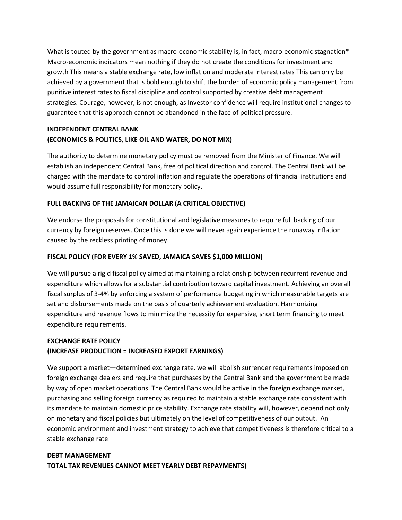What is touted by the government as macro-economic stability is, in fact, macro-economic stagnation\* Macro-economic indicators mean nothing if they do not create the conditions for investment and growth This means a stable exchange rate, low inflation and moderate interest rates This can only be achieved by a government that is bold enough to shift the burden of economic policy management from punitive interest rates to fiscal discipline and control supported by creative debt management strategies. Courage, however, is not enough, as Investor confidence will require institutional changes to guarantee that this approach cannot be abandoned in the face of political pressure.

## **INDEPENDENT CENTRAL BANK (ECONOMICS & POLITICS, LIKE OIL AND WATER, DO NOT MIX)**

The authority to determine monetary policy must be removed from the Minister of Finance. We will establish an independent Central Bank, free of political direction and control. The Central Bank will be charged with the mandate to control inflation and regulate the operations of financial institutions and would assume full responsibility for monetary policy.

## **FULL BACKING OF THE JAMAICAN DOLLAR (A CRITICAL OBJECTIVE)**

We endorse the proposals for constitutional and legislative measures to require full backing of our currency by foreign reserves. Once this is done we will never again experience the runaway inflation caused by the reckless printing of money.

## **FISCAL POLICY (FOR EVERY 1% SAVED, JAMAICA SAVES \$1,000 MILLION)**

We will pursue a rigid fiscal policy aimed at maintaining a relationship between recurrent revenue and expenditure which allows for a substantial contribution toward capital investment. Achieving an overall fiscal surplus of 3-4% by enforcing a system of performance budgeting in which measurable targets are set and disbursements made on the basis of quarterly achievement evaluation. Harmonizing expenditure and revenue flows to minimize the necessity for expensive, short term financing to meet expenditure requirements.

## **EXCHANGE RATE POLICY**

## **(INCREASE PRODUCTION = INCREASED EXPORT EARNINGS)**

We support a market—determined exchange rate. we will abolish surrender requirements imposed on foreign exchange dealers and require that purchases by the Central Bank and the government be made by way of open market operations. The Central Bank would be active in the foreign exchange market, purchasing and selling foreign currency as required to maintain a stable exchange rate consistent with its mandate to maintain domestic price stability. Exchange rate stability will, however, depend not only on monetary and fiscal policies but ultimately on the level of competitiveness of our output. An economic environment and investment strategy to achieve that competitiveness is therefore critical to a stable exchange rate

## **DEBT MANAGEMENT TOTAL TAX REVENUES CANNOT MEET YEARLY DEBT REPAYMENTS)**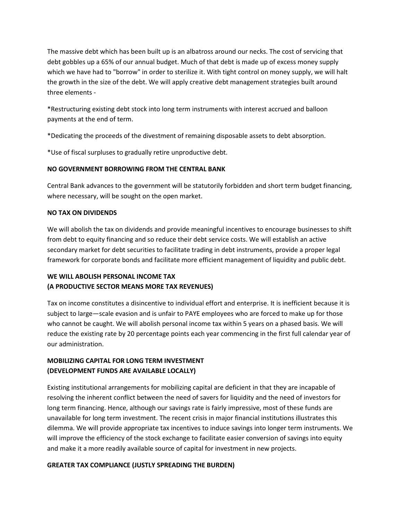The massive debt which has been built up is an albatross around our necks. The cost of servicing that debt gobbles up a 65% of our annual budget. Much of that debt is made up of excess money supply which we have had to "borrow" in order to sterilize it. With tight control on money supply, we will halt the growth in the size of the debt. We will apply creative debt management strategies built around three elements -

\*Restructuring existing debt stock into long term instruments with interest accrued and balloon payments at the end of term.

\*Dedicating the proceeds of the divestment of remaining disposable assets to debt absorption.

\*Use of fiscal surpluses to gradually retire unproductive debt.

#### **NO GOVERNMENT BORROWING FROM THE CENTRAL BANK**

Central Bank advances to the government will be statutorily forbidden and short term budget financing, where necessary, will be sought on the open market.

#### **NO TAX ON DIVIDENDS**

We will abolish the tax on dividends and provide meaningful incentives to encourage businesses to shift from debt to equity financing and so reduce their debt service costs. We will establish an active secondary market for debt securities to facilitate trading in debt instruments, provide a proper legal framework for corporate bonds and facilitate more efficient management of liquidity and public debt.

## **WE WILL ABOLISH PERSONAL INCOME TAX (A PRODUCTIVE SECTOR MEANS MORE TAX REVENUES)**

Tax on income constitutes a disincentive to individual effort and enterprise. It is inefficient because it is subject to large—scale evasion and is unfair to PAYE employees who are forced to make up for those who cannot be caught. We will abolish personal income tax within 5 years on a phased basis. We will reduce the existing rate by 20 percentage points each year commencing in the first full calendar year of our administration.

## **MOBILIZING CAPITAL FOR LONG TERM INVESTMENT (DEVELOPMENT FUNDS ARE AVAILABLE LOCALLY)**

Existing institutional arrangements for mobilizing capital are deficient in that they are incapable of resolving the inherent conflict between the need of savers for liquidity and the need of investors for long term financing. Hence, although our savings rate is fairly impressive, most of these funds are unavailable for long term investment. The recent crisis in major financial institutions illustrates this dilemma. We will provide appropriate tax incentives to induce savings into longer term instruments. We will improve the efficiency of the stock exchange to facilitate easier conversion of savings into equity and make it a more readily available source of capital for investment in new projects.

## **GREATER TAX COMPLIANCE (JUSTLY SPREADING THE BURDEN)**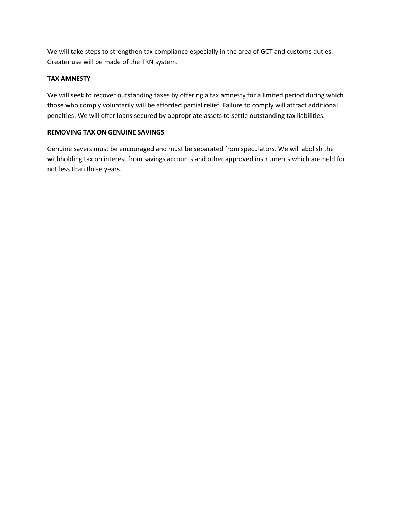We will take steps to strengthen tax compliance especially in the area of GCT and customs duties. Greater use will be made of the TRN system.

## **TAX AMNESTY**

We will seek to recover outstanding taxes by offering a tax amnesty for a limited period during which those who comply voluntarily will be afforded partial relief. Failure to comply will attract additional penalties. We will offer loans secured by appropriate assets to settle outstanding tax liabilities.

## **REMOVING TAX ON GENUINE SAVINGS**

Genuine savers must be encouraged and must be separated from speculators. We will abolish the withholding tax on interest from savings accounts and other approved instruments which are held for not less than three years.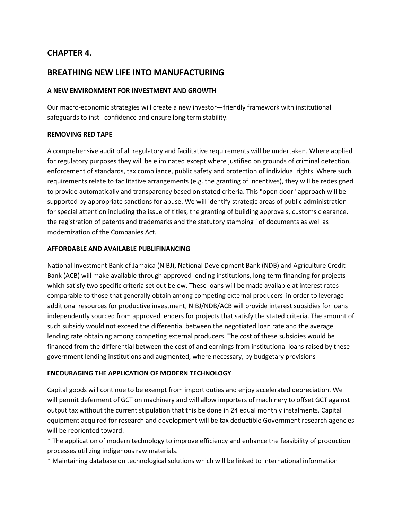## **CHAPTER 4.**

## **BREATHING NEW LIFE INTO MANUFACTURING**

#### **A NEW ENVIRONMENT FOR INVESTMENT AND GROWTH**

Our macro-economic strategies will create a new investor—friendly framework with institutional safeguards to instil confidence and ensure long term stability.

#### **REMOVING RED TAPE**

A comprehensive audit of all regulatory and facilitative requirements will be undertaken. Where applied for regulatory purposes they will be eliminated except where justified on grounds of criminal detection, enforcement of standards, tax compliance, public safety and protection of individual rights. Where such requirements relate to facilitative arrangements (e.g. the granting of incentives), they will be redesigned to provide automatically and transparency based on stated criteria. This "open door" approach will be supported by appropriate sanctions for abuse. We will identify strategic areas of public administration for special attention including the issue of titles, the granting of building approvals, customs clearance, the registration of patents and trademarks and the statutory stamping j of documents as well as modernization of the Companies Act.

#### **AFFORDABLE AND AVAILABLE PUBLIFINANCING**

National Investment Bank of Jamaica (NIBJ), National Development Bank (NDB) and Agriculture Credit Bank (ACB) will make available through approved lending institutions, long term financing for projects which satisfy two specific criteria set out below. These loans will be made available at interest rates comparable to those that generally obtain among competing external producers in order to leverage additional resources for productive investment, NIBJ/NDB/ACB will provide interest subsidies for loans independently sourced from approved lenders for projects that satisfy the stated criteria. The amount of such subsidy would not exceed the differential between the negotiated loan rate and the average lending rate obtaining among competing external producers. The cost of these subsidies would be financed from the differential between the cost of and earnings from institutional loans raised by these government lending institutions and augmented, where necessary, by budgetary provisions

#### **ENCOURAGING THE APPLICATION OF MODERN TECHNOLOGY**

Capital goods will continue to be exempt from import duties and enjoy accelerated depreciation. We will permit deferment of GCT on machinery and will allow importers of machinery to offset GCT against output tax without the current stipulation that this be done in 24 equal monthly instalments. Capital equipment acquired for research and development will be tax deductible Government research agencies will be reoriented toward: -

\* The application of modern technology to improve efficiency and enhance the feasibility of production processes utilizing indigenous raw materials.

\* Maintaining database on technological solutions which will be linked to international information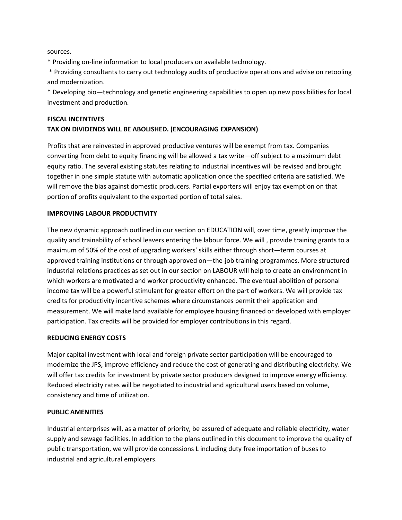sources.

\* Providing on-line information to local producers on available technology.

\* Providing consultants to carry out technology audits of productive operations and advise on retooling and modernization.

\* Developing bio—technology and genetic engineering capabilities to open up new possibilities for local investment and production.

## **FISCAL INCENTIVES TAX ON DIVIDENDS WILL BE ABOLISHED. (ENCOURAGING EXPANSION)**

Profits that are reinvested in approved productive ventures will be exempt from tax. Companies converting from debt to equity financing will be allowed a tax write—off subject to a maximum debt equity ratio. The several existing statutes relating to industrial incentives will be revised and brought together in one simple statute with automatic application once the specified criteria are satisfied. We will remove the bias against domestic producers. Partial exporters will enjoy tax exemption on that portion of profits equivalent to the exported portion of total sales.

#### **IMPROVING LABOUR PRODUCTIVITY**

The new dynamic approach outlined in our section on EDUCATION will, over time, greatly improve the quality and trainability of school leavers entering the labour force. We will , provide training grants to a maximum of 50% of the cost of upgrading workers' skills either through short—term courses at approved training institutions or through approved on—the-job training programmes. More structured industrial relations practices as set out in our section on LABOUR will help to create an environment in which workers are motivated and worker productivity enhanced. The eventual abolition of personal income tax will be a powerful stimulant for greater effort on the part of workers. We will provide tax credits for productivity incentive schemes where circumstances permit their application and measurement. We will make land available for employee housing financed or developed with employer participation. Tax credits will be provided for employer contributions in this regard.

#### **REDUCING ENERGY COSTS**

Major capital investment with local and foreign private sector participation will be encouraged to modernize the JPS, improve efficiency and reduce the cost of generating and distributing electricity. We will offer tax credits for investment by private sector producers designed to improve energy efficiency. Reduced electricity rates will be negotiated to industrial and agricultural users based on volume, consistency and time of utilization.

#### **PUBLIC AMENITIES**

Industrial enterprises will, as a matter of priority, be assured of adequate and reliable electricity, water supply and sewage facilities. In addition to the plans outlined in this document to improve the quality of public transportation, we will provide concessions L including duty free importation of buses to industrial and agricultural employers.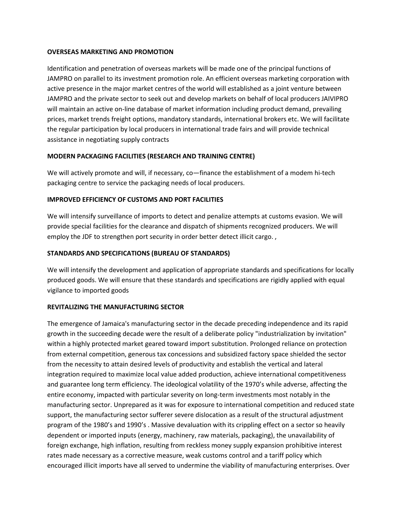#### **OVERSEAS MARKETING AND PROMOTION**

Identification and penetration of overseas markets will be made one of the principal functions of JAMPRO on parallel to its investment promotion role. An efficient overseas marketing corporation with active presence in the major market centres of the world will established as a joint venture between JAMPRO and the private sector to seek out and develop markets on behalf of local producers JAIVIPRO will maintain an active on-line database of market information including product demand, prevailing prices, market trends freight options, mandatory standards, international brokers etc. We will facilitate the regular participation by local producers in international trade fairs and will provide technical assistance in negotiating supply contracts

#### **MODERN PACKAGING FACILITIES (RESEARCH AND TRAINING CENTRE)**

We will actively promote and will, if necessary, co—finance the establishment of a modem hi-tech packaging centre to service the packaging needs of local producers.

#### **IMPROVED EFFICIENCY OF CUSTOMS AND PORT FACILITIES**

We will intensify surveillance of imports to detect and penalize attempts at customs evasion. We will provide special facilities for the clearance and dispatch of shipments recognized producers. We will employ the JDF to strengthen port security in order better detect illicit cargo.,

#### **STANDARDS AND SPECIFICATIONS (BUREAU OF STANDARDS)**

We will intensify the development and application of appropriate standards and specifications for locally produced goods. We will ensure that these standards and specifications are rigidly applied with equal vigilance to imported goods

#### **REVITALIZING THE MANUFACTURING SECTOR**

The emergence of Jamaica's manufacturing sector in the decade preceding independence and its rapid growth in the succeeding decade were the result of a deliberate policy "industrialization by invitation" within a highly protected market geared toward import substitution. Prolonged reliance on protection from external competition, generous tax concessions and subsidized factory space shielded the sector from the necessity to attain desired levels of productivity and establish the vertical and lateral integration required to maximize local value added production, achieve international competitiveness and guarantee long term efficiency. The ideological volatility of the 1970's while adverse, affecting the entire economy, impacted with particular severity on long-term investments most notably in the manufacturing sector. Unprepared as it was for exposure to international competition and reduced state support, the manufacturing sector sufferer severe dislocation as a result of the structural adjustment program of the 1980's and 1990's . Massive devaluation with its crippling effect on a sector so heavily dependent or imported inputs (energy, machinery, raw materials, packaging), the unavailability of foreign exchange, high inflation, resulting from reckless money supply expansion prohibitive interest rates made necessary as a corrective measure, weak customs control and a tariff policy which encouraged illicit imports have all served to undermine the viability of manufacturing enterprises. Over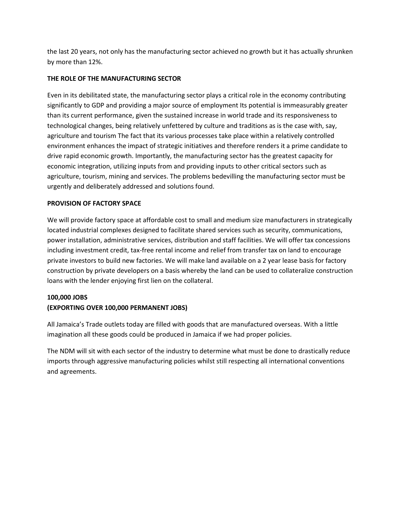the last 20 years, not only has the manufacturing sector achieved no growth but it has actually shrunken by more than 12%.

#### **THE ROLE OF THE MANUFACTURING SECTOR**

Even in its debilitated state, the manufacturing sector plays a critical role in the economy contributing significantly to GDP and providing a major source of employment Its potential is immeasurably greater than its current performance, given the sustained increase in world trade and its responsiveness to technological changes, being relatively unfettered by culture and traditions as is the case with, say, agriculture and tourism The fact that its various processes take place within a relatively controlled environment enhances the impact of strategic initiatives and therefore renders it a prime candidate to drive rapid economic growth. Importantly, the manufacturing sector has the greatest capacity for economic integration, utilizing inputs from and providing inputs to other critical sectors such as agriculture, tourism, mining and services. The problems bedevilling the manufacturing sector must be urgently and deliberately addressed and solutions found.

#### **PROVISION OF FACTORY SPACE**

We will provide factory space at affordable cost to small and medium size manufacturers in strategically located industrial complexes designed to facilitate shared services such as security, communications, power installation, administrative services, distribution and staff facilities. We will offer tax concessions including investment credit, tax-free rental income and relief from transfer tax on land to encourage private investors to build new factories. We will make land available on a 2 year lease basis for factory construction by private developers on a basis whereby the land can be used to collateralize construction loans with the lender enjoying first lien on the collateral.

#### **100,000 JOBS**

## **(EXPORTING OVER 100,000 PERMANENT JOBS)**

All Jamaica's Trade outlets today are filled with goods that are manufactured overseas. With a little imagination all these goods could be produced in Jamaica if we had proper policies.

The NDM will sit with each sector of the industry to determine what must be done to drastically reduce imports through aggressive manufacturing policies whilst still respecting all international conventions and agreements.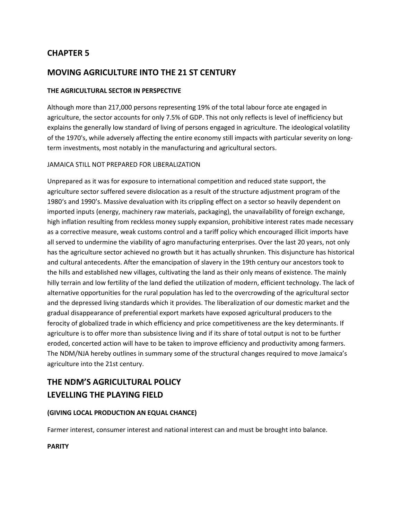## **MOVING AGRICULTURE INTO THE 21 ST CENTURY**

## **THE AGRICULTURAL SECTOR IN PERSPECTIVE**

Although more than 217,000 persons representing 19% of the total labour force ate engaged in agriculture, the sector accounts for only 7.5% of GDP. This not only reflects is level of inefficiency but explains the generally low standard of living of persons engaged in agriculture. The ideological volatility of the 1970's, while adversely affecting the entire economy still impacts with particular severity on longterm investments, most notably in the manufacturing and agricultural sectors.

#### JAMAICA STILL NOT PREPARED FOR LIBERALIZATION

Unprepared as it was for exposure to international competition and reduced state support, the agriculture sector suffered severe dislocation as a result of the structure adjustment program of the 1980's and 1990's. Massive devaluation with its crippling effect on a sector so heavily dependent on imported inputs (energy, machinery raw materials, packaging), the unavailability of foreign exchange, high inflation resulting from reckless money supply expansion, prohibitive interest rates made necessary as a corrective measure, weak customs control and a tariff policy which encouraged illicit imports have all served to undermine the viability of agro manufacturing enterprises. Over the last 20 years, not only has the agriculture sector achieved no growth but it has actually shrunken. This disjuncture has historical and cultural antecedents. After the emancipation of slavery in the 19th century our ancestors took to the hills and established new villages, cultivating the land as their only means of existence. The mainly hilly terrain and low fertility of the land defied the utilization of modern, efficient technology. The lack of alternative opportunities for the rural population has led to the overcrowding of the agricultural sector and the depressed living standards which it provides. The liberalization of our domestic market and the gradual disappearance of preferential export markets have exposed agricultural producers to the ferocity of globalized trade in which efficiency and price competitiveness are the key determinants. If agriculture is to offer more than subsistence living and if its share of total output is not to be further eroded, concerted action will have to be taken to improve efficiency and productivity among farmers. The NDM/NJA hereby outlines in summary some of the structural changes required to move Jamaica's agriculture into the 21st century.

# **THE NDM'S AGRICULTURAL POLICY LEVELLING THE PLAYING FIELD**

## **(GIVING LOCAL PRODUCTION AN EQUAL CHANCE)**

Farmer interest, consumer interest and national interest can and must be brought into balance.

#### **PARITY**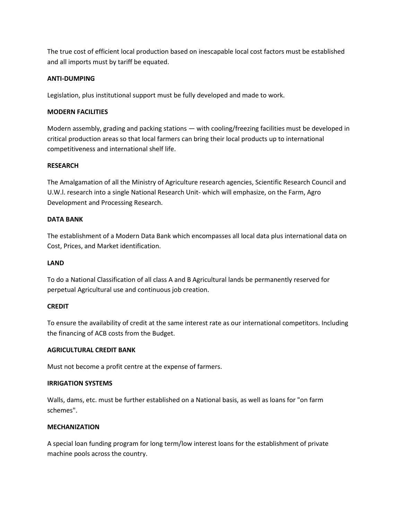The true cost of efficient local production based on inescapable local cost factors must be established and all imports must by tariff be equated.

#### **ANTI-DUMPING**

Legislation, plus institutional support must be fully developed and made to work.

#### **MODERN FACILITIES**

Modern assembly, grading and packing stations — with cooling/freezing facilities must be developed in critical production areas so that local farmers can bring their local products up to international competitiveness and international shelf life.

#### **RESEARCH**

The Amalgamation of all the Ministry of Agriculture research agencies, Scientific Research Council and U.W.l. research into a single National Research Unit- which will emphasize, on the Farm, Agro Development and Processing Research.

#### **DATA BANK**

The establishment of a Modern Data Bank which encompasses all local data plus international data on Cost, Prices, and Market identification.

#### **LAND**

To do a National Classification of all class A and B Agricultural lands be permanently reserved for perpetual Agricultural use and continuous job creation.

## **CREDIT**

To ensure the availability of credit at the same interest rate as our international competitors. Including the financing of ACB costs from the Budget.

#### **AGRICULTURAL CREDIT BANK**

Must not become a profit centre at the expense of farmers.

#### **IRRIGATION SYSTEMS**

Walls, dams, etc. must be further established on a National basis, as well as loans for "on farm schemes".

#### **MECHANIZATION**

A special loan funding program for long term/low interest loans for the establishment of private machine pools across the country.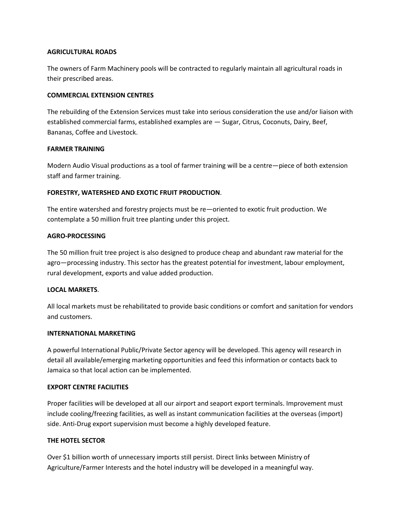#### **AGRICULTURAL ROADS**

The owners of Farm Machinery pools will be contracted to regularly maintain all agricultural roads in their prescribed areas.

#### **COMMERCIAL EXTENSION CENTRES**

The rebuilding of the Extension Services must take into serious consideration the use and/or liaison with established commercial farms, established examples are — Sugar, Citrus, Coconuts, Dairy, Beef, Bananas, Coffee and Livestock.

#### **FARMER TRAINING**

Modern Audio Visual productions as a tool of farmer training will be a centre—piece of both extension staff and farmer training.

#### **FORESTRY, WATERSHED AND EXOTIC FRUIT PRODUCTION**.

The entire watershed and forestry projects must be re—oriented to exotic fruit production. We contemplate a 50 million fruit tree planting under this project.

#### **AGRO-PROCESSING**

The 50 million fruit tree project is also designed to produce cheap and abundant raw material for the agro—processing industry. This sector has the greatest potential for investment, labour employment, rural development, exports and value added production.

#### **LOCAL MARKETS**.

All local markets must be rehabilitated to provide basic conditions or comfort and sanitation for vendors and customers.

#### **INTERNATIONAL MARKETING**

A powerful International Public/Private Sector agency will be developed. This agency will research in detail all available/emerging marketing opportunities and feed this information or contacts back to Jamaica so that local action can be implemented.

#### **EXPORT CENTRE FACILITIES**

Proper facilities will be developed at all our airport and seaport export terminals. Improvement must include cooling/freezing facilities, as well as instant communication facilities at the overseas (import) side. Anti-Drug export supervision must become a highly developed feature.

#### **THE HOTEL SECTOR**

Over \$1 billion worth of unnecessary imports still persist. Direct links between Ministry of Agriculture/Farmer Interests and the hotel industry will be developed in a meaningful way.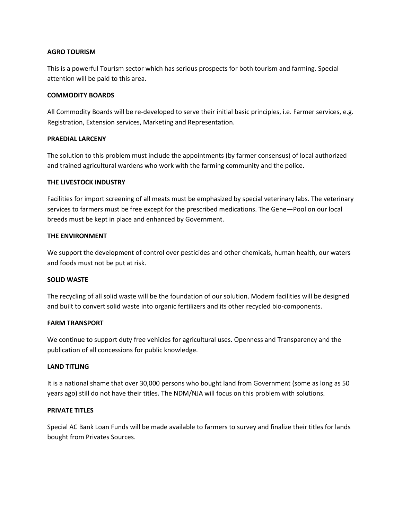#### **AGRO TOURISM**

This is a powerful Tourism sector which has serious prospects for both tourism and farming. Special attention will be paid to this area.

#### **COMMODITY BOARDS**

All Commodity Boards will be re-developed to serve their initial basic principles, i.e. Farmer services, e.g. Registration, Extension services, Marketing and Representation.

#### **PRAEDIAL LARCENY**

The solution to this problem must include the appointments (by farmer consensus) of local authorized and trained agricultural wardens who work with the farming community and the police.

#### **THE LIVESTOCK INDUSTRY**

Facilities for import screening of all meats must be emphasized by special veterinary labs. The veterinary services to farmers must be free except for the prescribed medications. The Gene—Pool on our local breeds must be kept in place and enhanced by Government.

#### **THE ENVIRONMENT**

We support the development of control over pesticides and other chemicals, human health, our waters and foods must not be put at risk.

#### **SOLID WASTE**

The recycling of all solid waste will be the foundation of our solution. Modern facilities will be designed and built to convert solid waste into organic fertilizers and its other recycled bio-components.

#### **FARM TRANSPORT**

We continue to support duty free vehicles for agricultural uses. Openness and Transparency and the publication of all concessions for public knowledge.

#### **LAND TITLING**

It is a national shame that over 30,000 persons who bought land from Government (some as long as 50 years ago) still do not have their titles. The NDM/NJA will focus on this problem with solutions.

#### **PRIVATE TITLES**

Special AC Bank Loan Funds will be made available to farmers to survey and finalize their titles for lands bought from Privates Sources.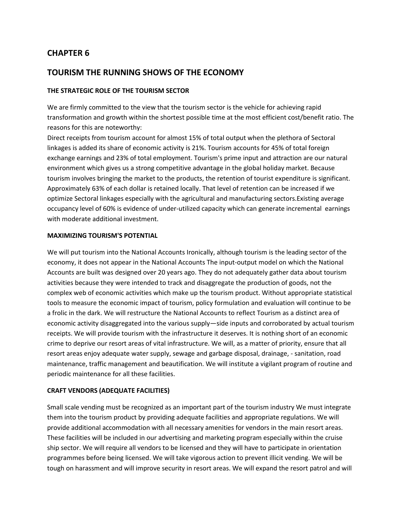## **TOURISM THE RUNNING SHOWS OF THE ECONOMY**

#### **THE STRATEGIC ROLE OF THE TOURISM SECTOR**

We are firmly committed to the view that the tourism sector is the vehicle for achieving rapid transformation and growth within the shortest possible time at the most efficient cost/benefit ratio. The reasons for this are noteworthy:

Direct receipts from tourism account for almost 15% of total output when the plethora of Sectoral linkages is added its share of economic activity is 21%. Tourism accounts for 45% of total foreign exchange earnings and 23% of total employment. Tourism's prime input and attraction are our natural environment which gives us a strong competitive advantage in the global holiday market. Because tourism involves bringing the market to the products, the retention of tourist expenditure is significant. Approximately 63% of each dollar is retained locally. That level of retention can be increased if we optimize Sectoral linkages especially with the agricultural and manufacturing sectors.Existing average occupancy level of 60% is evidence of under-utilized capacity which can generate incremental earnings with moderate additional investment.

#### **MAXIMIZING TOURISM'S POTENTIAL**

We will put tourism into the National Accounts Ironically, although tourism is the leading sector of the economy, it does not appear in the National Accounts The input-output model on which the National Accounts are built was designed over 20 years ago. They do not adequately gather data about tourism activities because they were intended to track and disaggregate the production of goods, not the complex web of economic activities which make up the tourism product. Without appropriate statistical tools to measure the economic impact of tourism, policy formulation and evaluation will continue to be a frolic in the dark. We will restructure the National Accounts to reflect Tourism as a distinct area of economic activity disaggregated into the various supply—side inputs and corroborated by actual tourism receipts. We will provide tourism with the infrastructure it deserves. It is nothing short of an economic crime to deprive our resort areas of vital infrastructure. We will, as a matter of priority, ensure that all resort areas enjoy adequate water supply, sewage and garbage disposal, drainage, - sanitation, road maintenance, traffic management and beautification. We will institute a vigilant program of routine and periodic maintenance for all these facilities.

#### **CRAFT VENDORS (ADEQUATE FACILITIES)**

Small scale vending must be recognized as an important part of the tourism industry We must integrate them into the tourism product by providing adequate facilities and appropriate regulations. We will provide additional accommodation with all necessary amenities for vendors in the main resort areas. These facilities will be included in our advertising and marketing program especially within the cruise ship sector. We will require all vendors to be licensed and they will have to participate in orientation programmes before being licensed. We will take vigorous action to prevent illicit vending. We will be tough on harassment and will improve security in resort areas. We will expand the resort patrol and will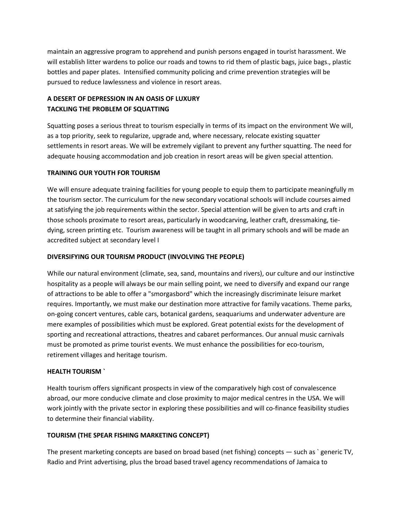maintain an aggressive program to apprehend and punish persons engaged in tourist harassment. We will establish litter wardens to police our roads and towns to rid them of plastic bags, juice bags., plastic bottles and paper plates. Intensified community policing and crime prevention strategies will be pursued to reduce lawlessness and violence in resort areas.

## **A DESERT OF DEPRESSION IN AN OASIS OF LUXURY TACKLING THE PROBLEM OF SQUATTING**

Squatting poses a serious threat to tourism especially in terms of its impact on the environment We will, as a top priority, seek to regularize, upgrade and, where necessary, relocate existing squatter settlements in resort areas. We will be extremely vigilant to prevent any further squatting. The need for adequate housing accommodation and job creation in resort areas will be given special attention.

## **TRAINING OUR YOUTH FOR TOURISM**

We will ensure adequate training facilities for young people to equip them to participate meaningfully m the tourism sector. The curriculum for the new secondary vocational schools will include courses aimed at satisfying the job requirements within the sector. Special attention will be given to arts and craft in those schools proximate to resort areas, particularly in woodcarving, leather craft, dressmaking, tiedying, screen printing etc. Tourism awareness will be taught in all primary schools and will be made an accredited subject at secondary level I

#### **DIVERSIFYING OUR TOURISM PRODUCT (INVOLVING THE PEOPLE)**

While our natural environment (climate, sea, sand, mountains and rivers), our culture and our instinctive hospitality as a people will always be our main selling point, we need to diversify and expand our range of attractions to be able to offer a "smorgasbord" which the increasingly discriminate leisure market requires. Importantly, we must make our destination more attractive for family vacations. Theme parks, on-going concert ventures, cable cars, botanical gardens, seaquariums and underwater adventure are mere examples of possibilities which must be explored. Great potential exists for the development of sporting and recreational attractions, theatres and cabaret performances. Our annual music carnivals must be promoted as prime tourist events. We must enhance the possibilities for eco-tourism, retirement villages and heritage tourism.

#### **HEALTH TOURISM `**

Health tourism offers significant prospects in view of the comparatively high cost of convalescence abroad, our more conducive climate and close proximity to major medical centres in the USA. We will work jointly with the private sector in exploring these possibilities and will co-finance feasibility studies to determine their financial viability.

## **TOURISM (THE SPEAR FISHING MARKETING CONCEPT)**

The present marketing concepts are based on broad based (net fishing) concepts — such as ` generic TV, Radio and Print advertising, plus the broad based travel agency recommendations of Jamaica to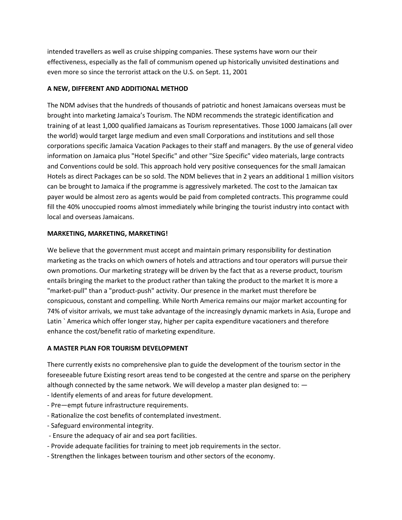intended travellers as well as cruise shipping companies. These systems have worn our their effectiveness, especially as the fall of communism opened up historically unvisited destinations and even more so since the terrorist attack on the U.S. on Sept. 11, 2001

#### **A NEW, DIFFERENT AND ADDITIONAL METHOD**

The NDM advises that the hundreds of thousands of patriotic and honest Jamaicans overseas must be brought into marketing Jamaica's Tourism. The NDM recommends the strategic identification and training of at least 1,000 qualified Jamaicans as Tourism representatives. Those 1000 Jamaicans (all over the world) would target large medium and even small Corporations and institutions and sell those corporations specific Jamaica Vacation Packages to their staff and managers. By the use of general video information on Jamaica plus "Hotel Specific" and other "Size Specific" video materials, large contracts and Conventions could be sold. This approach hold very positive consequences for the small Jamaican Hotels as direct Packages can be so sold. The NDM believes that in 2 years an additional 1 million visitors can be brought to Jamaica if the programme is aggressively marketed. The cost to the Jamaican tax payer would be almost zero as agents would be paid from completed contracts. This programme could fill the 40% unoccupied rooms almost immediately while bringing the tourist industry into contact with local and overseas Jamaicans.

#### **MARKETING, MARKETING, MARKETING!**

We believe that the government must accept and maintain primary responsibility for destination marketing as the tracks on which owners of hotels and attractions and tour operators will pursue their own promotions. Our marketing strategy will be driven by the fact that as a reverse product, tourism entails bringing the market to the product rather than taking the product to the market It is more a "market-pull" than a "product-push" activity. Our presence in the market must therefore be conspicuous, constant and compelling. While North America remains our major market accounting for 74% of visitor arrivals, we must take advantage of the increasingly dynamic markets in Asia, Europe and Latin ` America which offer Ionger stay, higher per capita expenditure vacationers and therefore enhance the cost/benefit ratio of marketing expenditure.

#### **A MASTER PLAN FOR TOURISM DEVELOPMENT**

There currently exists no comprehensive plan to guide the development of the tourism sector in the foreseeable future Existing resort areas tend to be congested at the centre and sparse on the periphery although connected by the same network. We will develop a master plan designed to: —

- Identify elements of and areas for future development.
- Pre—empt future infrastructure requirements.
- Rationalize the cost benefits of contemplated investment.
- Safeguard environmental integrity.
- Ensure the adequacy of air and sea port facilities.
- Provide adequate facilities for training to meet job requirements in the sector.
- Strengthen the linkages between tourism and other sectors of the economy.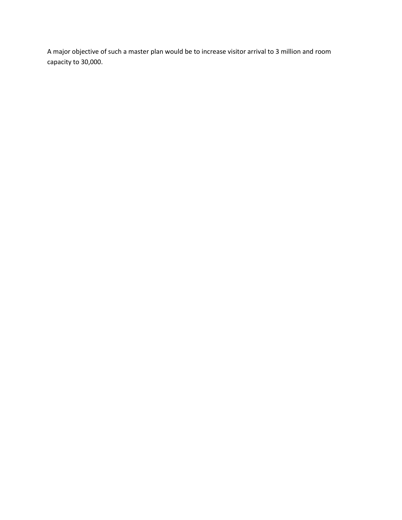A major objective of such a master plan would be to increase visitor arrival to 3 million and room capacity to 30,000.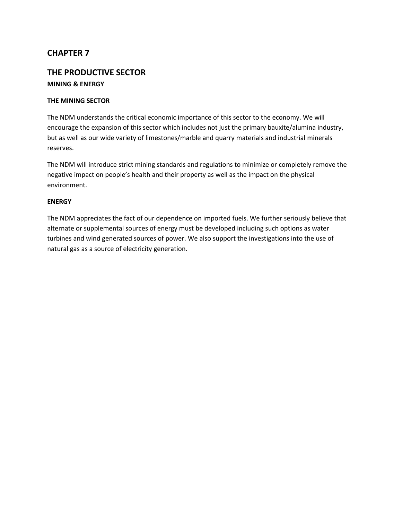## **THE PRODUCTIVE SECTOR MINING & ENERGY**

#### **THE MINING SECTOR**

The NDM understands the critical economic importance of this sector to the economy. We will encourage the expansion of this sector which includes not just the primary bauxite/alumina industry, but as well as our wide variety of limestones/marble and quarry materials and industrial minerals reserves.

The NDM will introduce strict mining standards and regulations to minimize or completely remove the negative impact on people's health and their property as well as the impact on the physical environment.

#### **ENERGY**

The NDM appreciates the fact of our dependence on imported fuels. We further seriously believe that alternate or supplemental sources of energy must be developed including such options as water turbines and wind generated sources of power. We also support the investigations into the use of natural gas as a source of electricity generation.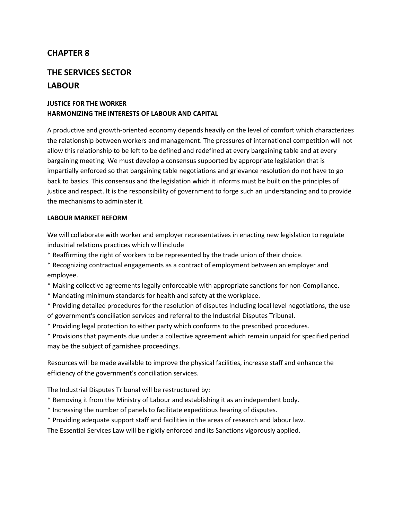# **THE SERVICES SECTOR LABOUR**

## **JUSTICE FOR THE WORKER HARMONIZING THE INTERESTS OF LABOUR AND CAPITAL**

A productive and growth-oriented economy depends heavily on the level of comfort which characterizes the relationship between workers and management. The pressures of international competition will not allow this relationship to be left to be defined and redefined at every bargaining table and at every bargaining meeting. We must develop a consensus supported by appropriate legislation that is impartially enforced so that bargaining table negotiations and grievance resolution do not have to go back to basics. This consensus and the legislation which it informs must be built on the principles of justice and respect. lt is the responsibility of government to forge such an understanding and to provide the mechanisms to administer it.

#### **LABOUR MARKET REFORM**

We will collaborate with worker and employer representatives in enacting new legislation to regulate industrial relations practices which will include

- \* Reaffirming the right of workers to be represented by the trade union of their choice.
- \* Recognizing contractual engagements as a contract of employment between an employer and employee.
- \* Making collective agreements legally enforceable with appropriate sanctions for non-CompIiance.
- \* Mandating minimum standards for health and safety at the workplace.
- \* Providing detailed procedures for the resolution of disputes including local level negotiations, the use of government's conciliation services and referral to the Industrial Disputes Tribunal.
- \* Providing legal protection to either party which conforms to the prescribed procedures.
- \* Provisions that payments due under a collective agreement which remain unpaid for specified period may be the subject of garnishee proceedings.

Resources will be made available to improve the physical facilities, increase staff and enhance the efficiency of the government's conciliation services.

The Industrial Disputes Tribunal will be restructured by:

- \* Removing it from the Ministry of Labour and establishing it as an independent body.
- \* Increasing the number of panels to facilitate expeditious hearing of disputes.
- \* Providing adequate support staff and facilities in the areas of research and labour law.

The Essential Services Law will be rigidly enforced and its Sanctions vigorously applied.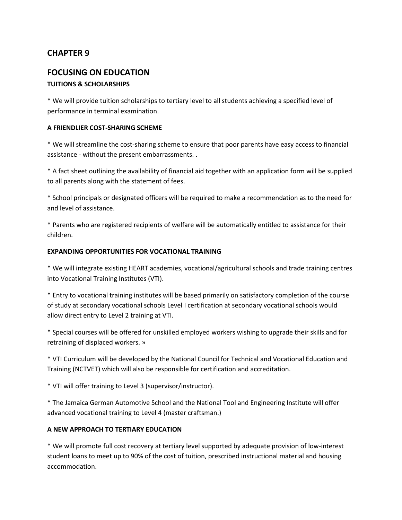## **FOCUSING ON EDUCATION**

## **TUITIONS & SCHOLARSHIPS**

\* We will provide tuition scholarships to tertiary level to all students achieving a specified level of performance in terminal examination.

#### **A FRIENDLIER COST-SHARING SCHEME**

\* We will streamline the cost-sharing scheme to ensure that poor parents have easy access to financial assistance - without the present embarrassments. .

\* A fact sheet outlining the availability of financial aid together with an application form will be supplied to all parents along with the statement of fees.

\* School principals or designated officers will be required to make a recommendation as to the need for and level of assistance.

\* Parents who are registered recipients of welfare will be automatically entitled to assistance for their children.

#### **EXPANDING OPPORTUNITIES FOR VOCATIONAL TRAINING**

\* We will integrate existing HEART academies, vocational/agricultural schools and trade training centres into Vocational Training Institutes (VTI).

\* Entry to vocational training institutes will be based primarily on satisfactory completion of the course of study at secondary vocational schools Level I certification at secondary vocational schools would allow direct entry to Level 2 training at VTI.

\* Special courses will be offered for unskilled employed workers wishing to upgrade their skills and for retraining of displaced workers. »

\* VTI Curriculum will be developed by the National Council for Technical and Vocational Education and Training (NCTVET) which will also be responsible for certification and accreditation.

\* VTI will offer training to Level 3 (supervisor/instructor).

\* The Jamaica German Automotive School and the National Tool and Engineering Institute will offer advanced vocational training to Level 4 (master craftsman.)

## **A NEW APPROACH TO TERTIARY EDUCATION**

\* We will promote full cost recovery at tertiary level supported by adequate provision of low-interest student loans to meet up to 90% of the cost of tuition, prescribed instructional material and housing accommodation.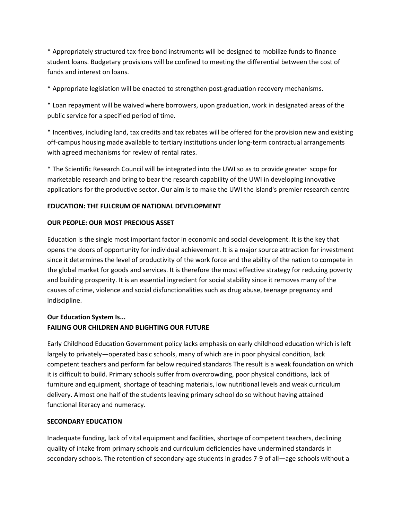\* Appropriately structured tax-free bond instruments will be designed to mobilize funds to finance student loans. Budgetary provisions will be confined to meeting the differential between the cost of funds and interest on loans.

\* Appropriate legislation will be enacted to strengthen post-graduation recovery mechanisms.

\* Loan repayment will be waived where borrowers, upon graduation, work in designated areas of the public service for a specified period of time.

\* Incentives, including land, tax credits and tax rebates will be offered for the provision new and existing off-campus housing made available to tertiary institutions under long-term contractual arrangements with agreed mechanisms for review of rental rates.

\* The Scientific Research Council will be integrated into the UWI so as to provide greater scope for marketable research and bring to bear the research capability of the UWI in developing innovative applications for the productive sector. Our aim is to make the UWI the island's premier research centre

#### **EDUCATION: THE FULCRUM OF NATIONAL DEVELOPMENT**

#### **OUR PEOPLE: OUR MOST PRECIOUS ASSET**

Education is the single most important factor in economic and social development. It is the key that opens the doors of opportunity for individual achievement. lt is a major source attraction for investment since it determines the level of productivity of the work force and the ability of the nation to compete in the global market for goods and services. It is therefore the most effective strategy for reducing poverty and building prosperity. It is an essential ingredient for social stability since it removes many of the causes of crime, violence and social disfunctionalities such as drug abuse, teenage pregnancy and indiscipline.

## **Our Education System Is... FAILING OUR CHILDREN AND BLIGHTING OUR FUTURE**

Early Childhood Education Government policy lacks emphasis on early childhood education which is left largely to privately—operated basic schools, many of which are in poor physical condition, lack competent teachers and perform far below required standards The result is a weak foundation on which it is difficult to build. Primary schools suffer from overcrowding, poor physical conditions, lack of furniture and equipment, shortage of teaching materials, low nutritional levels and weak curriculum delivery. Almost one half of the students leaving primary school do so without having attained functional literacy and numeracy.

#### **SECONDARY EDUCATION**

Inadequate funding, lack of vital equipment and facilities, shortage of competent teachers, declining quality of intake from primary schools and curriculum deficiencies have undermined standards in secondary schools. The retention of secondary-age students in grades 7-9 of all—age schools without a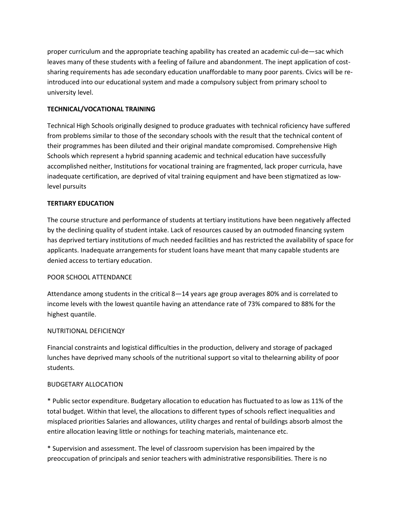proper curriculum and the appropriate teaching apability has created an academic cul-de—sac which leaves many of these students with a feeling of failure and abandonment. The inept application of costsharing requirements has ade secondary education unaffordable to many poor parents. Civics will be reintroduced into our educational system and made a compulsory subject from primary school to university level.

### **TECHNICAL/VOCATIONAL TRAINING**

Technical High Schools originally designed to produce graduates with technical roficiency have suffered from problems similar to those of the secondary schools with the result that the technical content of their programmes has been diluted and their original mandate compromised. Comprehensive High Schools which represent a hybrid spanning academic and technical education have successfully accomplished neither, Institutions for vocational training are fragmented, lack proper curricula, have inadequate certification, are deprived of vital training equipment and have been stigmatized as Iowlevel pursuits

#### **TERTIARY EDUCATION**

The course structure and performance of students at tertiary institutions have been negatively affected by the declining quality of student intake. Lack of resources caused by an outmoded financing system has deprived tertiary institutions of much needed facilities and has restricted the availability of space for applicants. Inadequate arrangements for student loans have meant that many capable students are denied access to tertiary education.

#### POOR SCHOOL ATTENDANCE

Attendance among students in the critical 8—14 years age group averages 80% and is correlated to income levels with the lowest quantile having an attendance rate of 73% compared to 88% for the highest quantile.

#### NUTRITIONAL DEFICIENQY

Financial constraints and logistical difficulties in the production, delivery and storage of packaged lunches have deprived many schools of the nutritional support so vital to thelearning ability of poor students.

#### BUDGETARY ALLOCATION

\* Public sector expenditure. Budgetary allocation to education has fluctuated to as low as 11% of the total budget. Within that level, the allocations to different types of schools reflect inequalities and misplaced priorities Salaries and allowances, utility charges and rental of buildings absorb almost the entire allocation leaving little or nothings for teaching materials, maintenance etc.

\* Supervision and assessment. The level of classroom supervision has been impaired by the preoccupation of principals and senior teachers with administrative responsibilities. There is no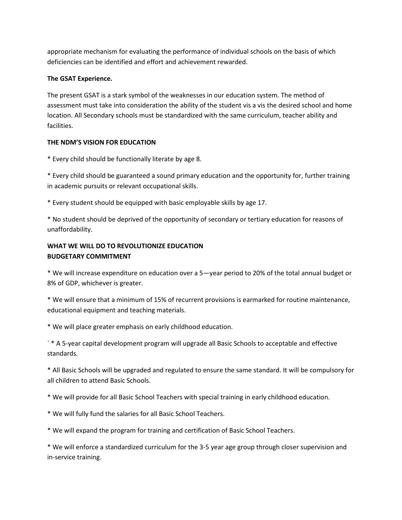appropriate mechanism for evaluating the performance of individual schools on the basis of which deficiencies can be identified and effort and achievement rewarded.

### **The GSAT Experience.**

The present GSAT is a stark symbol of the weaknesses in our education system. The method of assessment must take into consideration the ability of the student vis a vis the desired school and home location. All Secondary schools must be standardized with the same curriculum, teacher ability and facilities.

## **THE NDM'S VISION FOR EDUCATION**

\* Every child should be functionally literate by age 8.

\* Every child should be guaranteed a sound primary education and the opportunity for, further training in academic pursuits or relevant occupational skills.

\* Every student should be equipped with basic employable skills by age 17.

\* No student should be deprived of the opportunity of secondary or tertiary education for reasons of unaffordability.

## **WHAT WE WILL DO TO REVOLUTIONIZE EDUCATION BUDGETARY COMMITMENT**

\* We will increase expenditure on education over a 5—year period to 20% of the total annual budget or 8% of GDP, whichever is greater.

\* We will ensure that a minimum of 15% of recurrent provisions is earmarked for routine maintenance, educational equipment and teaching materials.

\* We will place greater emphasis on early childhood education.

` \* A 5-year capital development program will upgrade all Basic Schools to acceptable and effective standards.

\* All Basic Schools will be upgraded and regulated to ensure the same standard. It will be compulsory for all children to attend Basic Schools.

\* We will provide for all Basic School Teachers with special training in early childhood education.

\* We will fully fund the salaries for all Basic School Teachers.

\* We will expand the program for training and certification of Basic School Teachers.

\* We will enforce a standardized curriculum for the 3-5 year age group through closer supervision and in-service training.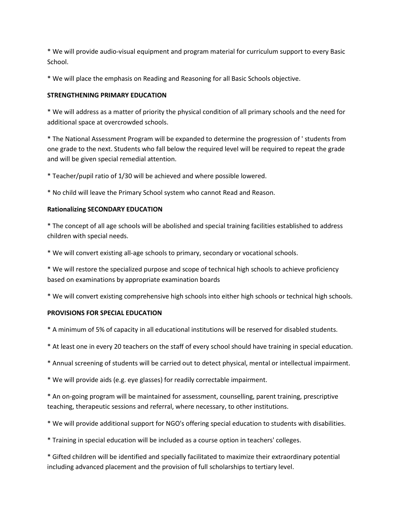\* We will provide audio-visual equipment and program material for curriculum support to every Basic School.

\* We will place the emphasis on Reading and Reasoning for all Basic Schools objective.

#### **STRENGTHENING PRIMARY EDUCATION**

\* We will address as a matter of priority the physical condition of all primary schools and the need for additional space at overcrowded schools.

\* The National Assessment Program will be expanded to determine the progression of ' students from one grade to the next. Students who fall below the required level will be required to repeat the grade and will be given special remedial attention.

\* Teacher/pupil ratio of 1/30 will be achieved and where possible lowered.

\* No child will leave the Primary School system who cannot Read and Reason.

#### **Rationalizing SECONDARY EDUCATION**

\* The concept of all age schools will be abolished and special training facilities established to address children with special needs.

\* We will convert existing all-age schools to primary, secondary or vocational schools.

\* We will restore the specialized purpose and scope of technical high schools to achieve proficiency based on examinations by appropriate examination boards

\* We will convert existing comprehensive high schools into either high schools or technical high schools.

#### **PROVISIONS FOR SPECIAL EDUCATION**

\* A minimum of 5% of capacity in all educational institutions will be reserved for disabled students.

- \* At least one in every 20 teachers on the staff of every school should have training in special education.
- \* Annual screening of students will be carried out to detect physical, mental or intellectual impairment.
- \* We will provide aids (e.g. eye glasses) for readily correctable impairment.

\* An on-going program will be maintained for assessment, counselling, parent training, prescriptive teaching, therapeutic sessions and referral, where necessary, to other institutions.

\* We will provide additional support for NGO's offering special education to students with disabilities.

\* Training in special education will be included as a course option in teachers' colleges.

\* Gifted children will be identified and specially facilitated to maximize their extraordinary potential including advanced placement and the provision of full scholarships to tertiary level.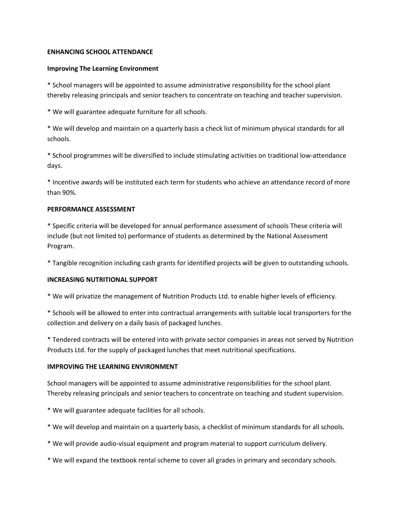#### **ENHANCING SCHOOL ATTENDANCE**

#### **Improving The Learning Environment**

\* School managers will be appointed to assume administrative responsibility for the school plant thereby releasing principals and senior teachers to concentrate on teaching and teacher supervision.

\* We will guarantee adequate furniture for all schools.

\* We will develop and maintain on a quarterly basis a check list of minimum physical standards for all schools.

\* School programmes will be diversified to include stimulating activities on traditional low-attendance days.

\* Incentive awards will be instituted each term for students who achieve an attendance record of more than 90%.

#### **PERFORMANCE ASSESSMENT**

\* Specific criteria will be developed for annual performance assessment of schools These criteria will include (but not limited to) performance of students as determined by the National Assessment Program.

\* Tangible recognition including cash grants for identified projects will be given to outstanding schools.

#### **INCREASING NUTRITIONAL SUPPORT**

\* We will privatize the management of Nutrition Products Ltd. to enable higher levels of efficiency.

\* Schools will be allowed to enter into contractual arrangements with suitable local transporters for the collection and delivery on a daily basis of packaged lunches.

\* Tendered contracts will be entered into with private sector companies in areas not served by Nutrition Products Ltd. for the supply of packaged lunches that meet nutritional specifications.

#### **IMPROVING THE LEARNING ENVIRONMENT**

School managers will be appointed to assume administrative responsibilities for the school plant. Thereby releasing principals and senior teachers to concentrate on teaching and student supervision.

\* We will guarantee adequate facilities for all schools.

- \* We will develop and maintain on a quarterly basis, a checklist of minimum standards for all schools.
- \* We will provide audio-visual equipment and program material to support curriculum delivery.
- \* We will expand the textbook rental scheme to cover all grades in primary and secondary schools.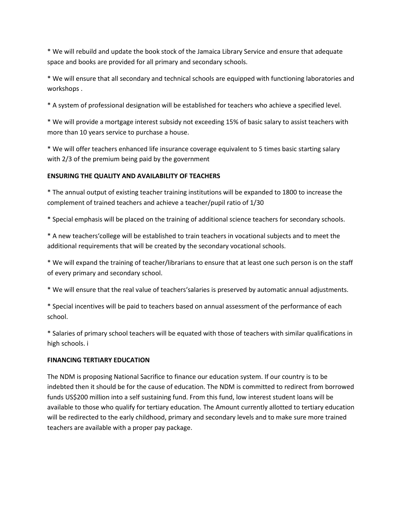\* We will rebuild and update the book stock of the Jamaica Library Service and ensure that adequate space and books are provided for all primary and secondary schools.

\* We will ensure that all secondary and technical schools are equipped with functioning laboratories and workshops .

\* A system of professional designation will be established for teachers who achieve a specified level.

\* We will provide a mortgage interest subsidy not exceeding 15% of basic salary to assist teachers with more than 10 years service to purchase a house.

\* We will offer teachers enhanced life insurance coverage equivalent to 5 times basic starting salary with 2/3 of the premium being paid by the government

### **ENSURING THE QUALITY AND AVAILABILITY OF TEACHERS**

\* The annual output of existing teacher training institutions will be expanded to 1800 to increase the complement of trained teachers and achieve a teacher/pupil ratio of 1/30

\* Special emphasis will be placed on the training of additional science teachers for secondary schools.

\* A new teachers'college will be established to train teachers in vocational subjects and to meet the additional requirements that will be created by the secondary vocational schools.

\* We will expand the training of teacher/librarians to ensure that at least one such person is on the staff of every primary and secondary school.

\* We will ensure that the real value of teachers'salaries is preserved by automatic annual adjustments.

\* Special incentives will be paid to teachers based on annual assessment of the performance of each school.

\* Salaries of primary school teachers will be equated with those of teachers with similar qualifications in high schools. i

### **FINANCING TERTIARY EDUCATION**

The NDM is proposing National Sacrifice to finance our education system. If our country is to be indebted then it should be for the cause of education. The NDM is committed to redirect from borrowed funds US\$200 million into a self sustaining fund. From this fund, low interest student loans will be available to those who qualify for tertiary education. The Amount currently allotted to tertiary education will be redirected to the early childhood, primary and secondary levels and to make sure more trained teachers are available with a proper pay package.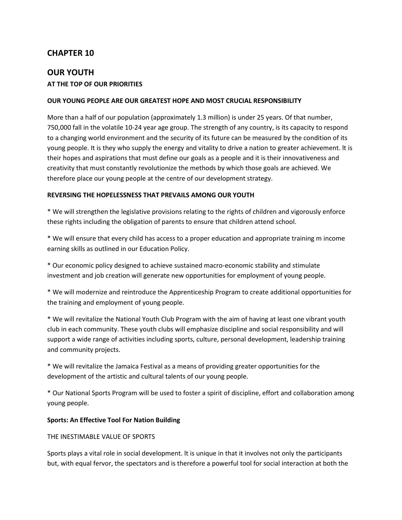# **OUR YOUTH AT THE TOP OF OUR PRIORITIES**

#### **OUR YOUNG PEOPLE ARE OUR GREATEST HOPE AND MOST CRUCIAL RESPONSIBILITY**

More than a half of our population (approximately 1.3 million) is under 25 years. Of that number, 750,000 fall in the volatile 10-24 year age group. The strength of any country, is its capacity to respond to a changing world environment and the security of its future can be measured by the condition of its young people. It is they who supply the energy and vitality to drive a nation to greater achievement. lt is their hopes and aspirations that must define our goals as a people and it is their innovativeness and creativity that must constantly revolutionize the methods by which those goals are achieved. We therefore place our young people at the centre of our development strategy.

#### **REVERSING THE HOPELESSNESS THAT PREVAILS AMONG OUR YOUTH**

\* We will strengthen the legislative provisions relating to the rights of children and vigorously enforce these rights including the obligation of parents to ensure that children attend school.

\* We will ensure that every child has access to a proper education and appropriate training m income earning skills as outlined in our Education Policy.

\* Our economic policy designed to achieve sustained macro-economic stability and stimulate investment and job creation will generate new opportunities for employment of young people.

\* We will modernize and reintroduce the Apprenticeship Program to create additional opportunities for the training and employment of young people.

\* We will revitalize the National Youth Club Program with the aim of having at least one vibrant youth club in each community. These youth clubs will emphasize discipline and social responsibility and will support a wide range of activities including sports, culture, personal development, leadership training and community projects.

\* We will revitalize the Jamaica Festival as a means of providing greater opportunities for the development of the artistic and cultural talents of our young people.

\* Our National Sports Program will be used to foster a spirit of discipline, effort and collaboration among young people.

#### **Sports: An Effective Tool For Nation Building**

#### THE INESTIMABLE VALUE OF SPORTS

Sports plays a vital role in social development. lt is unique in that it involves not only the participants but, with equal fervor, the spectators and is therefore a powerful tool for social interaction at both the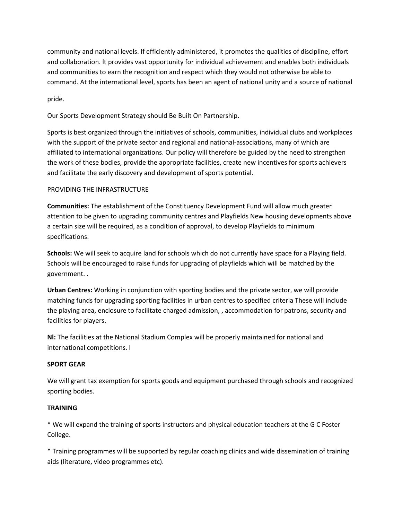community and national levels. If efficiently administered, it promotes the qualities of discipline, effort and collaboration. lt provides vast opportunity for individual achievement and enables both individuals and communities to earn the recognition and respect which they would not otherwise be able to command. At the international level, sports has been an agent of national unity and a source of national

pride.

Our Sports Development Strategy should Be Built On Partnership.

Sports is best organized through the initiatives of schools, communities, individual clubs and workplaces with the support of the private sector and regional and national-associations, many of which are affiliated to international organizations. Our policy will therefore be guided by the need to strengthen the work of these bodies, provide the appropriate facilities, create new incentives for sports achievers and facilitate the early discovery and development of sports potential.

#### PROVIDING THE INFRASTRUCTURE

**Communities:** The establishment of the Constituency Development Fund will allow much greater attention to be given to upgrading community centres and Playfields New housing developments above a certain size will be required, as a condition of approval, to develop Playfields to minimum specifications.

**Schools:** We will seek to acquire land for schools which do not currently have space for a Playing field. Schools will be encouraged to raise funds for upgrading of playfields which will be matched by the government. .

**Urban Centres:** Working in conjunction with sporting bodies and the private sector, we will provide matching funds for upgrading sporting facilities in urban centres to specified criteria These will include the playing area, enclosure to facilitate charged admission, , accommodation for patrons, security and facilities for players.

**Nl:** The facilities at the National Stadium Complex will be properly maintained for national and international competitions. I

#### **SPORT GEAR**

We will grant tax exemption for sports goods and equipment purchased through schools and recognized sporting bodies.

#### **TRAINING**

\* We will expand the training of sports instructors and physical education teachers at the G C Foster College.

\* Training programmes will be supported by regular coaching clinics and wide dissemination of training aids (literature, video programmes etc).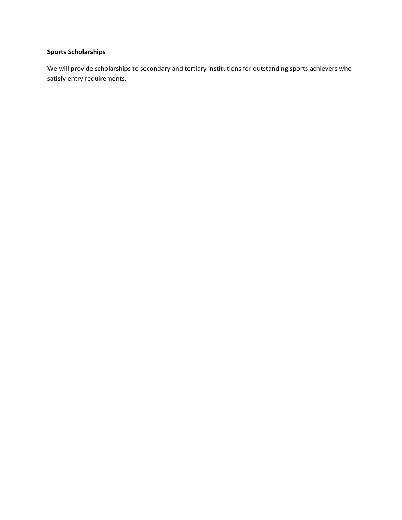# **Sports Scholarships**

We will provide scholarships to secondary and tertiary institutions for outstanding sports achievers who satisfy entry requirements.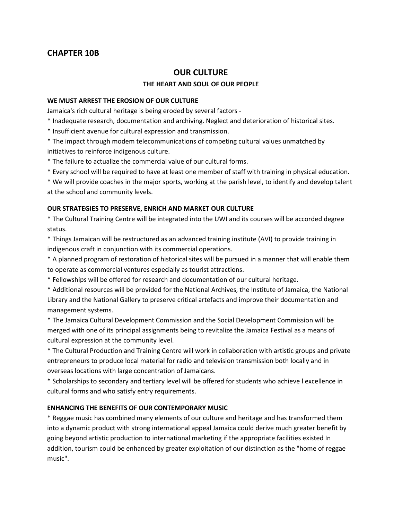# **CHAPTER 10B**

# **OUR CULTURE**

#### **THE HEART AND SOUL OF OUR PEOPLE**

#### **WE MUST ARREST THE EROSION OF OUR CULTURE**

Jamaica's rich cultural heritage is being eroded by several factors -

- \* Inadequate research, documentation and archiving. Neglect and deterioration of historical sites.
- \* Insufficient avenue for cultural expression and transmission.
- \* The impact through modem telecommunications of competing cultural values unmatched by initiatives to reinforce indigenous culture.
- \* The failure to actualize the commercial value of our cultural forms.
- \* Every school will be required to have at least one member of staff with training in physical education.

\* We will provide coaches in the major sports, working at the parish level, to identify and develop talent at the school and community levels.

#### **OUR STRATEGIES TO PRESERVE, ENRICH AND MARKET OUR CULTURE**

\* The Cultural Training Centre will be integrated into the UWI and its courses will be accorded degree status.

\* Things Jamaican will be restructured as an advanced training institute (AVI) to provide training in indigenous craft in conjunction with its commercial operations.

\* A planned program of restoration of historical sites will be pursued in a manner that will enable them to operate as commercial ventures especially as tourist attractions.

\* Fellowships will be offered for research and documentation of our cultural heritage.

\* Additional resources will be provided for the National Archives, the Institute of Jamaica, the National Library and the National Gallery to preserve critical artefacts and improve their documentation and management systems.

\* The Jamaica Cultural Development Commission and the Social Development Commission will be merged with one of its principal assignments being to revitalize the Jamaica Festival as a means of cultural expression at the community level.

\* The Cultural Production and Training Centre will work in collaboration with artistic groups and private entrepreneurs to produce local material for radio and television transmission both locally and in overseas locations with large concentration of Jamaicans.

\* Scholarships to secondary and tertiary level will be offered for students who achieve l excellence in cultural forms and who satisfy entry requirements.

### **ENHANCING THE BENEFITS OF OUR CONTEMPORARY MUSIC**

\* Reggae music has combined many elements of our culture and heritage and has transformed them into a dynamic product with strong international appeal Jamaica could derive much greater benefit by going beyond artistic production to international marketing if the appropriate facilities existed In addition, tourism could be enhanced by greater exploitation of our distinction as the "home of reggae music".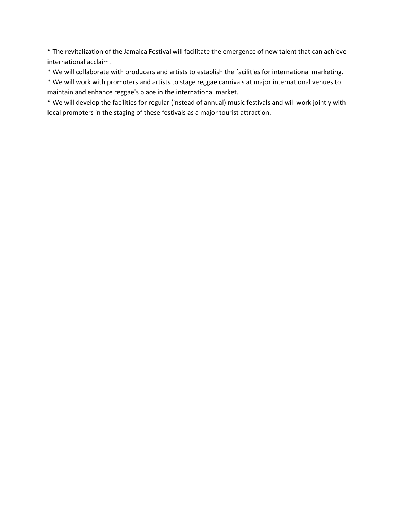\* The revitalization of the Jamaica Festival will facilitate the emergence of new talent that can achieve international acclaim.

\* We will collaborate with producers and artists to establish the facilities for international marketing.

\* We will work with promoters and artists to stage reggae carnivals at major international venues to maintain and enhance reggae's place in the international market.

\* We will develop the facilities for regular (instead of annual) music festivals and will work jointly with local promoters in the staging of these festivals as a major tourist attraction.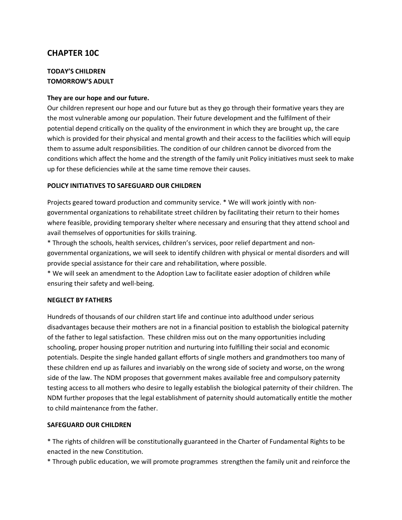# **CHAPTER 10C**

### **TODAY'S CHILDREN TOMORROW'S ADULT**

#### **They are our hope and our future.**

Our children represent our hope and our future but as they go through their formative years they are the most vulnerable among our population. Their future development and the fulfilment of their potential depend critically on the quality of the environment in which they are brought up, the care which is provided for their physical and mental growth and their access to the facilities which will equip them to assume adult responsibilities. The condition of our children cannot be divorced from the conditions which affect the home and the strength of the family unit Policy initiatives must seek to make up for these deficiencies while at the same time remove their causes.

#### **POLICY INITIATIVES TO SAFEGUARD OUR CHILDREN**

Projects geared toward production and community service. \* We will work jointly with nongovernmental organizations to rehabilitate street children by facilitating their return to their homes where feasible, providing temporary shelter where necessary and ensuring that they attend school and avail themselves of opportunities for skills training.

\* Through the schools, health services, children's services, poor relief department and nongovernmental organizations, we will seek to identify children with physical or mental disorders and will provide special assistance for their care and rehabilitation, where possible.

\* We will seek an amendment to the Adoption Law to facilitate easier adoption of children while ensuring their safety and well-being.

#### **NEGLECT BY FATHERS**

Hundreds of thousands of our children start life and continue into adulthood under serious disadvantages because their mothers are not in a financial position to establish the biological paternity of the father to legal satisfaction. These children miss out on the many opportunities including schooling, proper housing proper nutrition and nurturing into fulfilling their social and economic potentials. Despite the single handed gallant efforts of single mothers and grandmothers too many of these children end up as failures and invariably on the wrong side of society and worse, on the wrong side of the law. The NDM proposes that government makes available free and compulsory paternity testing access to all mothers who desire to legally establish the biological paternity of their children. The NDM further proposes that the legal establishment of paternity should automatically entitle the mother to child maintenance from the father.

#### **SAFEGUARD OUR CHILDREN**

\* The rights of children will be constitutionally guaranteed in the Charter of Fundamental Rights to be enacted in the new Constitution.

\* Through public education, we will promote programmes strengthen the family unit and reinforce the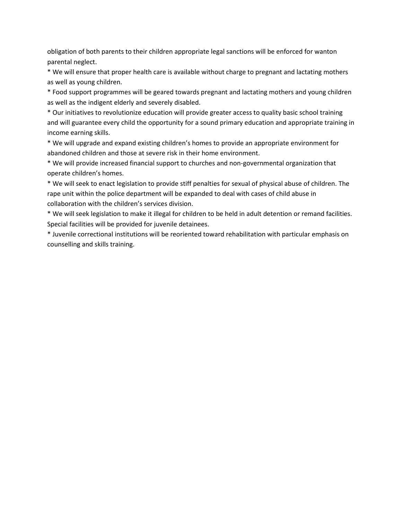obligation of both parents to their children appropriate legal sanctions will be enforced for wanton parental neglect.

\* We will ensure that proper health care is available without charge to pregnant and lactating mothers as well as young children.

\* Food support programmes will be geared towards pregnant and lactating mothers and young children as well as the indigent elderly and severely disabled.

\* Our initiatives to revolutionize education will provide greater access to quality basic school training and will guarantee every child the opportunity for a sound primary education and appropriate training in income earning skills.

\* We will upgrade and expand existing children's homes to provide an appropriate environment for abandoned children and those at severe risk in their home environment.

\* We will provide increased financial support to churches and non-governmental organization that operate children's homes.

\* We will seek to enact legislation to provide stiff penalties for sexual of physical abuse of children. The rape unit within the police department will be expanded to deal with cases of child abuse in collaboration with the children's services division.

\* We will seek legislation to make it illegal for children to be held in adult detention or remand facilities. Special facilities will be provided for juvenile detainees.

\* Juvenile correctional institutions will be reoriented toward rehabilitation with particular emphasis on counselling and skills training.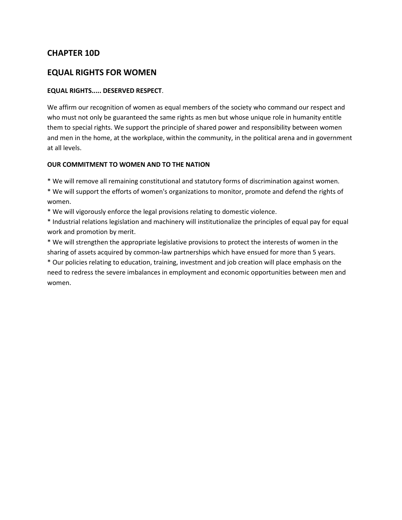# **CHAPTER 10D**

### **EQUAL RIGHTS FOR WOMEN**

#### **EQUAL RIGHTS..... DESERVED RESPECT**.

We affirm our recognition of women as equal members of the society who command our respect and who must not only be guaranteed the same rights as men but whose unique role in humanity entitle them to special rights. We support the principle of shared power and responsibility between women and men in the home, at the workplace, within the community, in the political arena and in government at all levels.

#### **OUR COMMITMENT TO WOMEN AND TO THE NATION**

\* We will remove all remaining constitutional and statutory forms of discrimination against women.

\* We will support the efforts of women's organizations to monitor, promote and defend the rights of women.

\* We will vigorously enforce the legal provisions relating to domestic violence.

\* Industrial relations legislation and machinery will institutionalize the principles of equal pay for equal work and promotion by merit.

\* We will strengthen the appropriate legislative provisions to protect the interests of women in the sharing of assets acquired by common-law partnerships which have ensued for more than 5 years.

\* Our policies relating to education, training, investment and job creation will place emphasis on the need to redress the severe imbalances in employment and economic opportunities between men and women.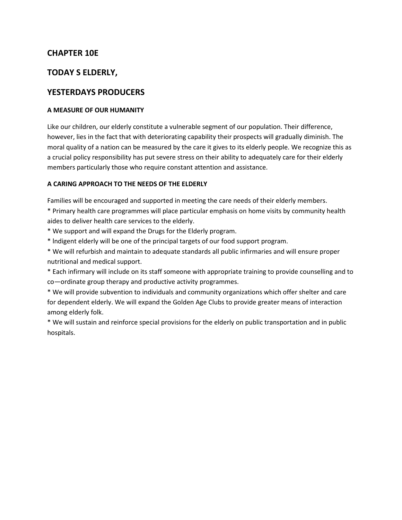# **CHAPTER 10E**

# **TODAY S ELDERLY,**

# **YESTERDAYS PRODUCERS**

#### **A MEASURE OF OUR HUMANITY**

Like our children, our elderly constitute a vulnerable segment of our population. Their difference, however, lies in the fact that with deteriorating capability their prospects will gradually diminish. The moral quality of a nation can be measured by the care it gives to its elderly people. We recognize this as a crucial policy responsibility has put severe stress on their ability to adequately care for their elderly members particularly those who require constant attention and assistance.

#### **A CARING APPROACH TO THE NEEDS OF THE ELDERLY**

Families will be encouraged and supported in meeting the care needs of their elderly members.

\* Primary health care programmes will place particular emphasis on home visits by community health aides to deliver health care services to the elderly.

- \* We support and will expand the Drugs for the Elderly program.
- \* lndigent elderly will be one of the principal targets of our food support program.

\* We will refurbish and maintain to adequate standards all public infirmaries and will ensure proper nutritional and medical support.

\* Each infirmary will include on its staff someone with appropriate training to provide counselling and to co—ordinate group therapy and productive activity programmes.

\* We will provide subvention to individuals and community organizations which offer shelter and care for dependent elderly. We will expand the Golden Age Clubs to provide greater means of interaction among elderly folk.

\* We will sustain and reinforce special provisions for the elderly on public transportation and in public hospitals.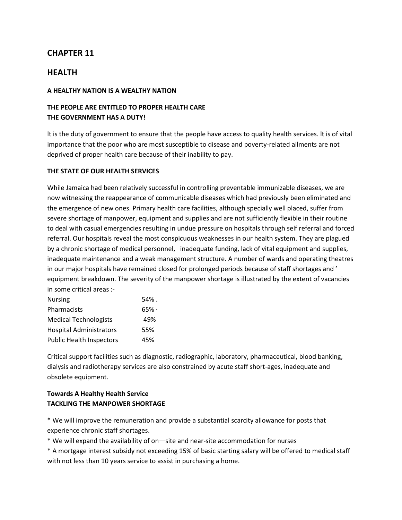# **HEALTH**

#### **A HEALTHY NATION IS A WEALTHY NATION**

### **THE PEOPLE ARE ENTITLED TO PROPER HEALTH CARE THE GOVERNMENT HAS A DUTY!**

lt is the duty of government to ensure that the people have access to quality health services. lt is of vital importance that the poor who are most susceptible to disease and poverty-related ailments are not deprived of proper health care because of their inability to pay.

#### **THE STATE OF OUR HEALTH SERVICES**

While Jamaica had been relatively successful in controlling preventable immunizable diseases, we are now witnessing the reappearance of communicable diseases which had previously been eliminated and the emergence of new ones. Primary health care facilities, although specially well placed, suffer from severe shortage of manpower, equipment and supplies and are not sufficiently flexible in their routine to deal with casual emergencies resulting in undue pressure on hospitals through self referral and forced referral. Our hospitals reveal the most conspicuous weaknesses in our health system. They are plagued by a chronic shortage of medical personnel, inadequate funding, lack of vital equipment and supplies, inadequate maintenance and a weak management structure. A number of wards and operating theatres in our major hospitals have remained closed for prolonged periods because of staff shortages and ' equipment breakdown. The severity of the manpower shortage is illustrated by the extent of vacancies in some critical areas :-

| <b>Nursing</b>                  | 54%.   |
|---------------------------------|--------|
| Pharmacists                     | $65\%$ |
| <b>Medical Technologists</b>    | 49%    |
| <b>Hospital Administrators</b>  | 55%    |
| <b>Public Health Inspectors</b> | 45%    |

Critical support facilities such as diagnostic, radiographic, laboratory, pharmaceutical, blood banking, dialysis and radiotherapy services are also constrained by acute staff short-ages, inadequate and obsolete equipment.

### **Towards A Healthy Health Service TACKLING THE MANPOWER SHORTAGE**

\* We will improve the remuneration and provide a substantial scarcity allowance for posts that experience chronic staff shortages.

\* We will expand the availability of on—site and near-site accommodation for nurses

\* A mortgage interest subsidy not exceeding 15% of basic starting salary will be offered to medical staff with not less than 10 years service to assist in purchasing a home.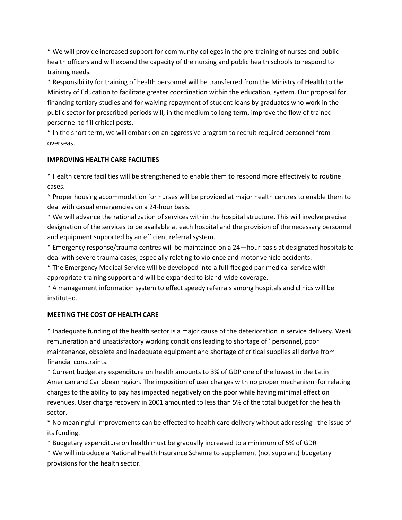\* We will provide increased support for community colleges in the pre-training of nurses and public health officers and will expand the capacity of the nursing and public health schools to respond to training needs.

\* Responsibility for training of health personnel will be transferred from the Ministry of Health to the Ministry of Education to facilitate greater coordination within the education, system. Our proposal for financing tertiary studies and for waiving repayment of student loans by graduates who work in the public sector for prescribed periods will, in the medium to long term, improve the flow of trained personnel to fill critical posts.

\* In the short term, we will embark on an aggressive program to recruit required personnel from overseas.

### **IMPROVING HEALTH CARE FACILITIES**

\* Health centre facilities will be strengthened to enable them to respond more effectively to routine cases.

\* Proper housing accommodation for nurses will be provided at major health centres to enable them to deal with casual emergencies on a 24-hour basis.

\* We will advance the rationalization of services within the hospital structure. This will involve precise designation of the services to be available at each hospital and the provision of the necessary personnel and equipment supported by an efficient referral system.

\* Emergency response/trauma centres will be maintained on a 24—hour basis at designated hospitals to deal with severe trauma cases, especially relating to violence and motor vehicle accidents.

\* The Emergency Medical Service will be developed into a fuII-fledged par-medical service with appropriate training support and will be expanded to island-wide coverage.

\* A management information system to effect speedy referrals among hospitals and clinics will be instituted.

### **MEETING THE COST OF HEALTH CARE**

\* Inadequate funding of the health sector is a major cause of the deterioration in service delivery. Weak remuneration and unsatisfactory working conditions leading to shortage of ' personnel, poor maintenance, obsolete and inadequate equipment and shortage of critical supplies all derive from financial constraints.

\* Current budgetary expenditure on health amounts to 3% of GDP one of the lowest in the Latin American and Caribbean region. The imposition of user charges with no proper mechanism ·for relating charges to the ability to pay has impacted negatively on the poor while having minimal effect on revenues. User charge recovery in 2001 amounted to less than 5% of the total budget for the health sector.

\* No meaningful improvements can be effected to health care delivery without addressing l the issue of its funding.

\* Budgetary expenditure on health must be gradually increased to a minimum of 5% of GDR

\* We will introduce a National Health Insurance Scheme to supplement (not supplant) budgetary provisions for the health sector.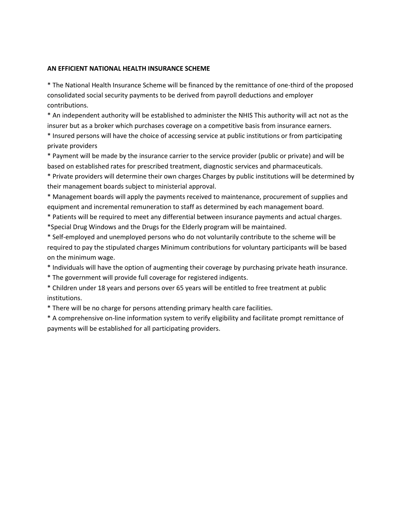#### **AN EFFICIENT NATIONAL HEALTH INSURANCE SCHEME**

\* The National Health Insurance Scheme will be financed by the remittance of one-third of the proposed consolidated social security payments to be derived from payroll deductions and employer contributions.

\* An independent authority will be established to administer the NHIS This authority will act not as the insurer but as a broker which purchases coverage on a competitive basis from insurance earners.

\* Insured persons will have the choice of accessing service at public institutions or from participating private providers

\* Payment will be made by the insurance carrier to the service provider (public or private) and will be based on established rates for prescribed treatment, diagnostic services and pharmaceuticals.

\* Private providers will determine their own charges Charges by public institutions will be determined by their management boards subject to ministerial approval.

\* Management boards will apply the payments received to maintenance, procurement of supplies and equipment and incremental remuneration to staff as determined by each management board.

\* Patients will be required to meet any differential between insurance payments and actual charges. \*Special Drug Windows and the Drugs for the Elderly program will be maintained.

\* Self-employed and unemployed persons who do not voluntarily contribute to the scheme will be required to pay the stipulated charges Minimum contributions for voluntary participants will be based on the minimum wage.

\* Individuals will have the option of augmenting their coverage by purchasing private heath insurance.

\* The government will provide full coverage for registered indigents.

\* Children under 18 years and persons over 65 years will be entitled to free treatment at public institutions.

\* There will be no charge for persons attending primary health care facilities.

\* A comprehensive on-line information system to verify eligibility and facilitate prompt remittance of payments will be established for all participating providers.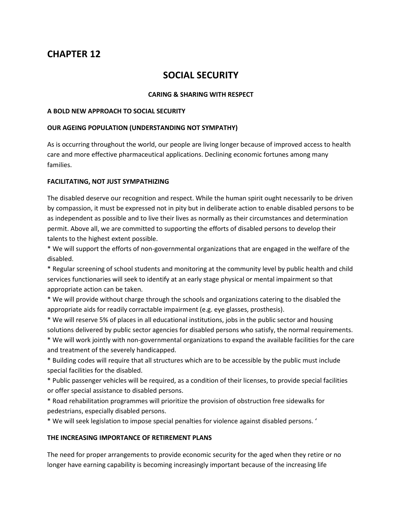# **SOCIAL SECURITY**

#### **CARING & SHARING WITH RESPECT**

#### **A BOLD NEW APPROACH TO SOCIAL SECURITY**

#### **OUR AGEING POPULATION (UNDERSTANDING NOT SYMPATHY)**

As is occurring throughout the world, our people are living longer because of improved access to health care and more effective pharmaceutical applications. Declining economic fortunes among many families.

#### **FACILITATING, NOT JUST SYMPATHIZING**

The disabled deserve our recognition and respect. While the human spirit ought necessarily to be driven by compassion, it must be expressed not in pity but in deliberate action to enable disabled persons to be as independent as possible and to live their lives as normally as their circumstances and determination permit. Above all, we are committed to supporting the efforts of disabled persons to develop their talents to the highest extent possible.

\* We will support the efforts of non-governmental organizations that are engaged in the welfare of the disabled.

\* Regular screening of school students and monitoring at the community level by public health and child services functionaries will seek to identify at an early stage physical or mental impairment so that appropriate action can be taken.

\* We will provide without charge through the schools and organizations catering to the disabled the appropriate aids for readily corractable impairment (e.g. eye glasses, prosthesis).

\* We will reserve 5% of places in all educational institutions, jobs in the public sector and housing solutions delivered by public sector agencies for disabled persons who satisfy, the normal requirements.

\* We will work jointly with non-governmental organizations to expand the available facilities for the care and treatment of the severely handicapped.

\* Building codes will require that all structures which are to be accessible by the public must include special facilities for the disabled.

\* Public passenger vehicles will be required, as a condition of their licenses, to provide special facilities or offer special assistance to disabled persons.

\* Road rehabilitation programmes will prioritize the provision of obstruction free sidewalks for pedestrians, especially disabled persons.

\* We will seek legislation to impose special penalties for violence against disabled persons. '

#### **THE INCREASING IMPORTANCE OF RETIREMENT PLANS**

The need for proper arrangements to provide economic security for the aged when they retire or no longer have earning capability is becoming increasingly important because of the increasing life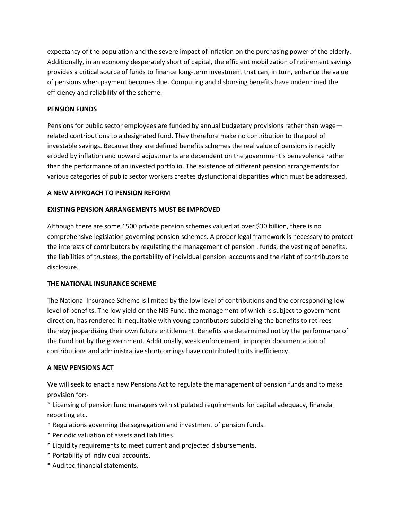expectancy of the population and the severe impact of inflation on the purchasing power of the elderly. Additionally, in an economy desperately short of capital, the efficient mobilization of retirement savings provides a critical source of funds to finance long-term investment that can, in turn, enhance the value of pensions when payment becomes due. Computing and disbursing benefits have undermined the efficiency and reliability of the scheme.

#### **PENSION FUNDS**

Pensions for public sector employees are funded by annual budgetary provisions rather than wage related contributions to a designated fund. They therefore make no contribution to the pool of investable savings. Because they are defined benefits schemes the real value of pensions is rapidly eroded by inflation and upward adjustments are dependent on the government's benevolence rather than the performance of an invested portfolio. The existence of different pension arrangements for various categories of public sector workers creates dysfunctional disparities which must be addressed.

#### **A NEW APPROACH TO PENSION REFORM**

#### **EXISTING PENSION ARRANGEMENTS MUST BE IMPROVED**

Although there are some 1500 private pension schemes valued at over \$30 billion, there is no comprehensive legislation governing pension schemes. A proper legal framework is necessary to protect the interests of contributors by regulating the management of pension . funds, the vesting of benefits, the liabilities of trustees, the portability of individual pension accounts and the right of contributors to disclosure.

#### **THE NATIONAL INSURANCE SCHEME**

The National Insurance Scheme is limited by the low level of contributions and the corresponding low level of benefits. The low yield on the NIS Fund, the management of which is subject to government direction, has rendered it inequitable with young contributors subsidizing the benefits to retirees thereby jeopardizing their own future entitlement. Benefits are determined not by the performance of the Fund but by the government. Additionally, weak enforcement, improper documentation of contributions and administrative shortcomings have contributed to its inefficiency.

#### **A NEW PENSIONS ACT**

We will seek to enact a new Pensions Act to regulate the management of pension funds and to make provision for:-

\* Licensing of pension fund managers with stipulated requirements for capital adequacy, financial reporting etc.

- \* Regulations governing the segregation and investment of pension funds.
- \* Periodic valuation of assets and liabilities.
- \* Liquidity requirements to meet current and projected disbursements.
- \* Portability of individual accounts.
- \* Audited financial statements.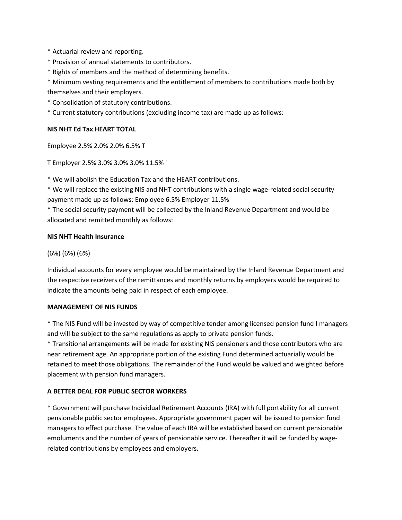\* Actuarial review and reporting.

- \* Provision of annual statements to contributors.
- \* Rights of members and the method of determining benefits.

\* Minimum vesting requirements and the entitlement of members to contributions made both by themselves and their employers.

- \* Consolidation of statutory contributions.
- \* Current statutory contributions (excluding income tax) are made up as follows:

#### **NIS NHT Ed Tax HEART TOTAL**

Employee 2.5% 2.0% 2.0% 6.5% T

T Employer 2.5% 3.0% 3.0% 3.0% 11.5% '

\* We will abolish the Education Tax and the HEART contributions.

\* We will replace the existing NIS and NHT contributions with a single wage-related social security payment made up as follows: Employee 6.5% Employer 11.5%

\* The social security payment will be collected by the Inland Revenue Department and would be allocated and remitted monthly as follows:

#### **NIS NHT Health Insurance**

(6%) (6%) (6%)

Individual accounts for every employee would be maintained by the Inland Revenue Department and the respective receivers of the remittances and monthly returns by employers would be required to indicate the amounts being paid in respect of each employee.

#### **MANAGEMENT OF NIS FUNDS**

\* The NIS Fund will be invested by way of competitive tender among licensed pension fund I managers and will be subject to the same regulations as apply to private pension funds.

\* Transitional arrangements will be made for existing NIS pensioners and those contributors who are near retirement age. An appropriate portion of the existing Fund determined actuarially would be retained to meet those obligations. The remainder of the Fund would be valued and weighted before placement with pension fund managers.

#### **A BETTER DEAL FOR PUBLIC SECTOR WORKERS**

\* Government will purchase Individual Retirement Accounts (IRA) with full portability for all current pensionable public sector employees. Appropriate government paper will be issued to pension fund managers to effect purchase. The value of each IRA will be established based on current pensionable emoluments and the number of years of pensionable service. Thereafter it will be funded by wagerelated contributions by employees and employers.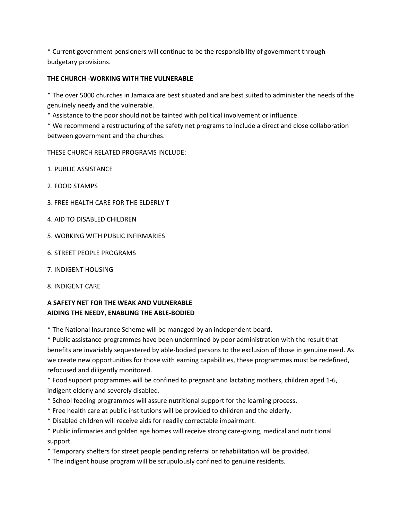\* Current government pensioners will continue to be the responsibility of government through budgetary provisions.

#### **THE CHURCH -WORKING WITH THE VULNERABLE**

\* The over 5000 churches in Jamaica are best situated and are best suited to administer the needs of the genuinely needy and the vulnerable.

\* Assistance to the poor should not be tainted with political involvement or influence.

\* We recommend a restructuring of the safety net programs to include a direct and close collaboration between government and the churches.

THESE CHURCH RELATED PROGRAMS INCLUDE:

- 1. PUBLIC ASSISTANCE
- 2. FOOD STAMPS
- 3. FREE HEALTH CARE FOR THE ELDERLY T
- 4. AID TO DISABLED CHILDREN
- 5. WORKING WITH PUBLIC INFIRMARIES
- 6. STREET PEOPLE PROGRAMS
- 7. INDIGENT HOUSING
- 8. INDIGENT CARE

### **A SAFETY NET FOR THE WEAK AND VULNERABLE AIDING THE NEEDY, ENABLING THE ABLE-BODIED**

\* The National Insurance Scheme will be managed by an independent board.

\* Public assistance programmes have been undermined by poor administration with the result that benefits are invariably sequestered by able-bodied persons to the exclusion of those in genuine need. As we create new opportunities for those with earning capabilities, these programmes must be redefined, refocused and diligently monitored.

\* Food support programmes will be confined to pregnant and lactating mothers, children aged 1-6, indigent elderly and severely disabled.

- \* School feeding programmes will assure nutritional support for the learning process.
- \* Free health care at public institutions will be provided to children and the elderly.
- \* Disabled children will receive aids for readily correctable impairment.
- \* Public infirmaries and golden age homes will receive strong care-giving, medical and nutritional support.
- \* Temporary shelters for street people pending referral or rehabilitation will be provided.
- \* The indigent house program will be scrupulously confined to genuine residents.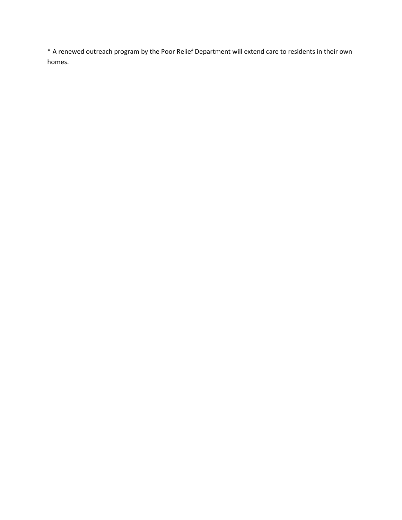\* A renewed outreach program by the Poor Relief Department will extend care to residents in their own homes.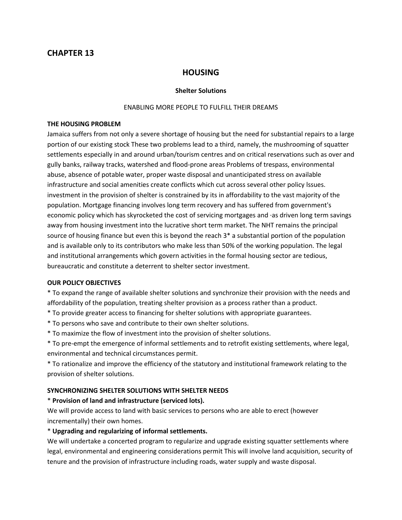### **HOUSING**

#### **Shelter Solutions**

#### ENABLING MORE PEOPLE TO FULFILL THEIR DREAMS

#### **THE HOUSING PROBLEM**

Jamaica suffers from not only a severe shortage of housing but the need for substantial repairs to a large portion of our existing stock These two problems lead to a third, namely, the mushrooming of squatter settlements especially in and around urban/tourism centres and on critical reservations such as over and gully banks, railway tracks, watershed and flood-prone areas Problems of trespass, environmental abuse, absence of potable water, proper waste disposal and unanticipated stress on available infrastructure and social amenities create conflicts which cut across several other policy lssues. investment in the provision of shelter is constrained by its in affordability to the vast majority of the population. Mortgage financing involves long term recovery and has suffered from government's economic policy which has skyrocketed the cost of servicing mortgages and ·as driven long term savings away from housing investment into the lucrative short term market. The NHT remains the principal source of housing finance but even this is beyond the reach 3\* a substantial portion of the population and is available only to its contributors who make less than 50% of the working population. The legal and institutional arrangements which govern activities in the formal housing sector are tedious, bureaucratic and constitute a deterrent to shelter sector investment.

#### **OUR POLICY OBJECTIVES**

\* To expand the range of available shelter solutions and synchronize their provision with the needs and affordability of the population, treating shelter provision as a process rather than a product.

- \* To provide greater access to financing for shelter solutions with appropriate guarantees.
- \* To persons who save and contribute to their own shelter solutions.
- \* To maximize the flow of investment into the provision of shelter solutions.

\* To pre-empt the emergence of informal settlements and to retrofit existing settlements, where legal, environmental and technical circumstances permit.

\* To rationalize and improve the efficiency of the statutory and institutional framework relating to the provision of shelter solutions.

#### **SYNCHRONIZING SHELTER SOLUTIONS WITH SHELTER NEEDS**

#### \* **Provision of land and infrastructure (serviced lots).**

We will provide access to land with basic services to persons who are able to erect (however incrementally) their own homes.

#### \* **Upgrading and regularizing of informal settlements.**

We will undertake a concerted program to regularize and upgrade existing squatter settlements where legal, environmental and engineering considerations permit This will involve land acquisition, security of tenure and the provision of infrastructure including roads, water supply and waste disposal.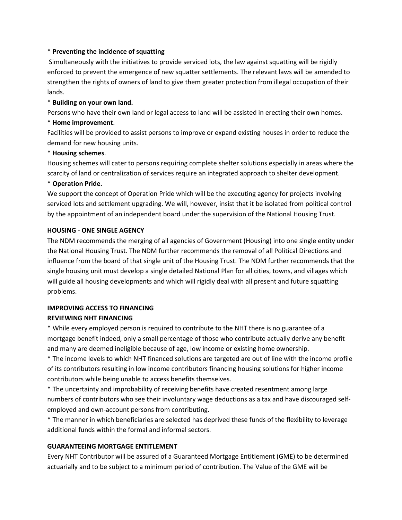#### \* **Preventing the incidence of squatting**

Simultaneously with the initiatives to provide serviced lots, the law against squatting will be rigidly enforced to prevent the emergence of new squatter settlements. The relevant laws will be amended to strengthen the rights of owners of land to give them greater protection from illegal occupation of their lands.

#### \* **Building on your own land.**

Persons who have their own land or legal access to land will be assisted in erecting their own homes.

#### \* **Home improvement**.

Facilities will be provided to assist persons to improve or expand existing houses in order to reduce the demand for new housing units.

#### \* **Housing schemes**.

Housing schemes will cater to persons requiring complete shelter solutions especially in areas where the scarcity of land or centralization of services require an integrated approach to shelter development.

#### \* **Operation Pride.**

We support the concept of Operation Pride which will be the executing agency for projects involving serviced lots and settlement upgrading. We will, however, insist that it be isolated from political control by the appointment of an independent board under the supervision of the National Housing Trust.

#### **HOUSING - ONE SINGLE AGENCY**

The NDM recommends the merging of all agencies of Government (Housing) into one single entity under the National Housing Trust. The NDM further recommends the removal of all Political Directions and influence from the board of that single unit of the Housing Trust. The NDM further recommends that the single housing unit must develop a single detailed National Plan for all cities, towns, and villages which will guide all housing developments and which will rigidly deal with all present and future squatting problems.

### **IMPROVING ACCESS TO FINANCING**

#### **REVIEWING NHT FINANCING**

\* While every employed person is required to contribute to the NHT there is no guarantee of a mortgage benefit indeed, only a small percentage of those who contribute actually derive any benefit and many are deemed ineligible because of age, low income or existing home ownership.

\* The income levels to which NHT financed solutions are targeted are out of line with the income profile of its contributors resulting in low income contributors financing housing solutions for higher income contributors while being unable to access benefits themselves.

\* The uncertainty and improbability of receiving benefits have created resentment among large numbers of contributors who see their involuntary wage deductions as a tax and have discouraged selfemployed and own-account persons from contributing.

\* The manner in which beneficiaries are selected has deprived these funds of the flexibility to leverage additional funds within the formal and informal sectors.

#### **GUARANTEEING MORTGAGE ENTITLEMENT**

Every NHT Contributor will be assured of a Guaranteed Mortgage Entitlement (GME) to be determined actuarially and to be subject to a minimum period of contribution. The Value of the GME will be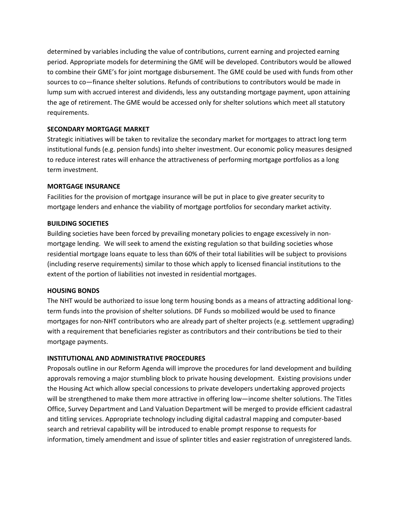determined by variables including the value of contributions, current earning and projected earning period. Appropriate models for determining the GME will be developed. Contributors would be allowed to combine their GME's for joint mortgage disbursement. The GME could be used with funds from other sources to co—finance shelter solutions. Refunds of contributions to contributors would be made in lump sum with accrued interest and dividends, less any outstanding mortgage payment, upon attaining the age of retirement. The GME would be accessed only for shelter solutions which meet all statutory requirements.

#### **SECONDARY MORTGAGE MARKET**

Strategic initiatives will be taken to revitalize the secondary market for mortgages to attract long term institutional funds (e.g. pension funds) into shelter investment. Our economic policy measures designed to reduce interest rates will enhance the attractiveness of performing mortgage portfolios as a long term investment.

#### **MORTGAGE INSURANCE**

Facilities for the provision of mortgage insurance will be put in place to give greater security to mortgage lenders and enhance the viability of mortgage portfolios for secondary market activity.

#### **BUILDING SOCIETIES**

Building societies have been forced by prevailing monetary policies to engage excessively in nonmortgage lending. We will seek to amend the existing regulation so that building societies whose residential mortgage loans equate to less than 60% of their total liabilities will be subject to provisions (including reserve requirements) similar to those which apply to licensed financial institutions to the extent of the portion of liabilities not invested in residential mortgages.

#### **HOUSING BONDS**

The NHT would be authorized to issue long term housing bonds as a means of attracting additional longterm funds into the provision of shelter solutions. DF Funds so mobilized would be used to finance mortgages for non-NHT contributors who are already part of shelter projects (e.g. settlement upgrading) with a requirement that beneficiaries register as contributors and their contributions be tied to their mortgage payments.

### **INSTITUTIONAL AND ADMINISTRATIVE PROCEDURES**

Proposals outline in our Reform Agenda will improve the procedures for land development and building approvals removing a major stumbling block to private housing development. Existing provisions under the Housing Act which allow special concessions to private developers undertaking approved projects will be strengthened to make them more attractive in offering low—income shelter solutions. The Titles Office, Survey Department and Land Valuation Department will be merged to provide efficient cadastral and titling services. Appropriate technology including digital cadastral mapping and computer-based search and retrieval capability will be introduced to enable prompt response to requests for information, timely amendment and issue of splinter titles and easier registration of unregistered lands.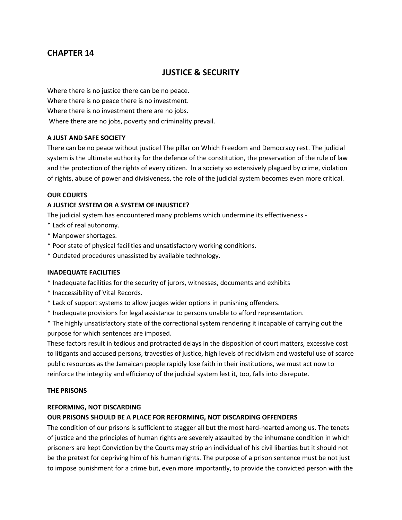# **JUSTICE & SECURITY**

Where there is no justice there can be no peace. Where there is no peace there is no investment. Where there is no investment there are no jobs. Where there are no jobs, poverty and criminality prevail.

#### **A JUST AND SAFE SOCIETY**

There can be no peace without justice! The pillar on Which Freedom and Democracy rest. The judicial system is the ultimate authority for the defence of the constitution, the preservation of the rule of law and the protection of the rights of every citizen. ln a society so extensively plagued by crime, violation of rights, abuse of power and divisiveness, the role of the judicial system becomes even more critical.

#### **OUR COURTS**

### **A JUSTICE SYSTEM OR A SYSTEM OF INJUSTICE?**

The judicial system has encountered many problems which undermine its effectiveness -

- \* Lack of real autonomy.
- \* Manpower shortages.
- \* Poor state of physical facilities and unsatisfactory working conditions.
- \* Outdated procedures unassisted by available technology.

#### **INADEQUATE FACILITIES**

- \* Inadequate facilities for the security of jurors, witnesses, documents and exhibits
- \* Inaccessibility of Vital Records.
- \* Lack of support systems to allow judges wider options in punishing offenders.
- \* Inadequate provisions for legal assistance to persons unable to afford representation.

\* The highly unsatisfactory state of the correctional system rendering it incapable of carrying out the purpose for which sentences are imposed.

These factors result in tedious and protracted delays in the disposition of court matters, excessive cost to litigants and accused persons, travesties of justice, high levels of recidivism and wasteful use of scarce public resources as the Jamaican people rapidly lose faith in their institutions, we must act now to reinforce the integrity and efficiency of the judicial system lest it, too, falls into disrepute.

#### **THE PRISONS**

#### **REFORMING, NOT DISCARDING**

#### **OUR PRISONS SHOULD BE A PLACE FOR REFORMING, NOT DISCARDING OFFENDERS**

The condition of our prisons is sufficient to stagger all but the most hard-hearted among us. The tenets of justice and the principles of human rights are severely assaulted by the inhumane condition in which prisoners are kept Conviction by the Courts may strip an individual of his civil liberties but it should not be the pretext for depriving him of his human rights. The purpose of a prison sentence must be not just to impose punishment for a crime but, even more importantly, to provide the convicted person with the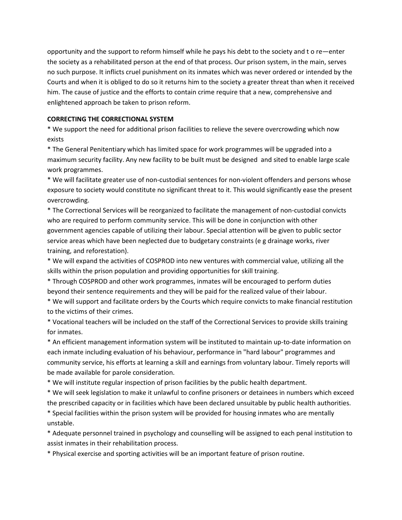opportunity and the support to reform himself while he pays his debt to the society and t o re—enter the society as a rehabilitated person at the end of that process. Our prison system, in the main, serves no such purpose. It inflicts cruel punishment on its inmates which was never ordered or intended by the Courts and when it is obliged to do so it returns him to the society a greater threat than when it received him. The cause of justice and the efforts to contain crime require that a new, comprehensive and enlightened approach be taken to prison reform.

#### **CORRECTING THE CORRECTIONAL SYSTEM**

\* We support the need for additional prison facilities to relieve the severe overcrowding which now exists

\* The General Penitentiary which has limited space for work programmes will be upgraded into a maximum security facility. Any new facility to be built must be designed and sited to enable large scale work programmes.

\* We will facilitate greater use of non-custodiaI sentences for non-violent offenders and persons whose exposure to society would constitute no significant threat to it. This would significantly ease the present overcrowding.

\* The Correctional Services will be reorganized to facilitate the management of non-custodiaI convicts who are required to perform community service. This will be done in conjunction with other government agencies capable of utilizing their labour. Special attention will be given to public sector service areas which have been neglected due to budgetary constraints (e g drainage works, river training, and reforestation).

\* We will expand the activities of COSPROD into new ventures with commercial value, utilizing all the skills within the prison population and providing opportunities for skill training.

\* Through COSPROD and other work programmes, inmates will be encouraged to perform duties beyond their sentence requirements and they will be paid for the realized value of their labour.

\* We will support and facilitate orders by the Courts which require convicts to make financial restitution to the victims of their crimes.

\* Vocational teachers will be included on the staff of the Correctional Services to provide skills training for inmates.

\* An efficient management information system will be instituted to maintain up-to-date information on each inmate including evaluation of his behaviour, performance in "hard labour" programmes and community service, his efforts at learning a skill and earnings from voluntary labour. Timely reports will be made available for parole consideration.

\* We will institute regular inspection of prison facilities by the public health department.

\* We will seek legislation to make it unlawful to confine prisoners or detainees in numbers which exceed the prescribed capacity or in facilities which have been declared unsuitable by public health authorities.

\* Special facilities within the prison system will be provided for housing inmates who are mentally unstable.

\* Adequate personnel trained in psychology and counselling will be assigned to each penal institution to assist inmates in their rehabilitation process.

\* Physical exercise and sporting activities will be an important feature of prison routine.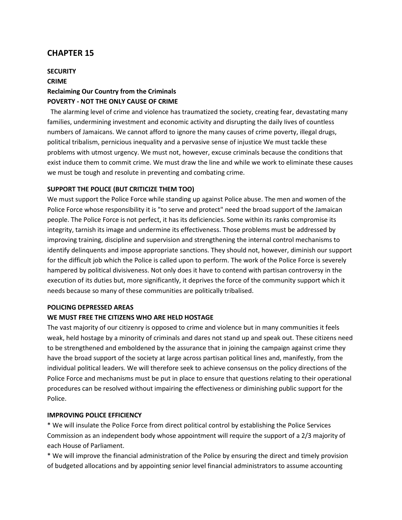# **SECURITY CRIME Reclaiming Our Country from the Criminals POVERTY - NOT THE ONLY CAUSE OF CRIME**

 The alarming level of crime and violence has traumatized the society, creating fear, devastating many families, undermining investment and economic activity and disrupting the daily Iives of countless numbers of Jamaicans. We cannot afford to ignore the many causes of crime poverty, illegal drugs, political tribalism, pernicious inequality and a pervasive sense of injustice We must tackle these problems with utmost urgency. We must not, however, excuse criminals because the conditions that exist induce them to commit crime. We must draw the line and while we work to eliminate these causes we must be tough and resolute in preventing and combating crime.

#### **SUPPORT THE POLICE (BUT CRITICIZE THEM TOO)**

We must support the Police Force while standing up against Police abuse. The men and women of the Police Force whose responsibility it is "to serve and protect" need the broad support of the Jamaican people. The Police Force is not perfect, it has its deficiencies. Some within its ranks compromise its integrity, tarnish its image and undermine its effectiveness. Those problems must be addressed by improving training, discipline and supervision and strengthening the internal control mechanisms to identify delinquents and impose appropriate sanctions. They should not, however, diminish our support for the difficult job which the Police is called upon to perform. The work of the Police Force is severely hampered by political divisiveness. Not only does it have to contend with partisan controversy in the execution of its duties but, more significantly, it deprives the force of the community support which it needs because so many of these communities are politically tribalised.

#### **POLICING DEPRESSED AREAS**

#### **WE MUST FREE THE CITIZENS WHO ARE HELD HOSTAGE**

The vast majority of our citizenry is opposed to crime and violence but in many communities it feels weak, held hostage by a minority of criminals and dares not stand up and speak out. These citizens need to be strengthened and emboldened by the assurance that in joining the campaign against crime they have the broad support of the society at large across partisan political lines and, manifestly, from the individual political leaders. We will therefore seek to achieve consensus on the policy directions of the Police Force and mechanisms must be put in place to ensure that questions relating to their operational procedures can be resolved without impairing the effectiveness or diminishing public support for the Police.

#### **IMPROVING POLICE EFFICIENCY**

\* We will insulate the Police Force from direct political control by establishing the Police Services Commission as an independent body whose appointment will require the support of a 2/3 majority of each House of Parliament.

\* We will improve the financial administration of the Police by ensuring the direct and timely provision of budgeted allocations and by appointing senior level financial administrators to assume accounting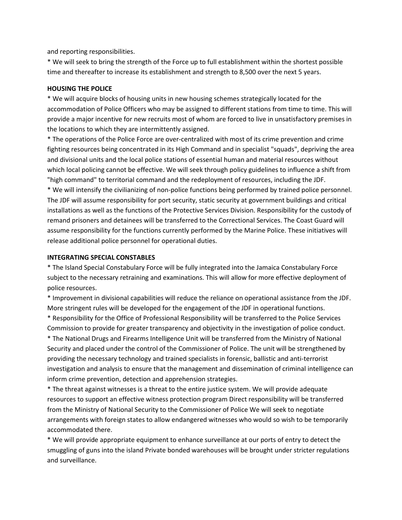and reporting responsibilities.

\* We will seek to bring the strength of the Force up to full establishment within the shortest possible time and thereafter to increase its establishment and strength to 8,500 over the next 5 years.

#### **HOUSING THE POLICE**

\* We will acquire blocks of housing units in new housing schemes strategically located for the accommodation of Police Officers who may be assigned to different stations from time to time. This will provide a major incentive for new recruits most of whom are forced to live in unsatisfactory premises in the locations to which they are intermittently assigned.

\* The operations of the Police Force are over-centralized with most of its crime prevention and crime fighting resources being concentrated in its High Command and in specialist "squads", depriving the area and divisional units and the local police stations of essential human and material resources without which local policing cannot be effective. We will seek through policy guidelines to influence a shift from "high command" to territorial command and the redeployment of resources, including the JDF.

\* We will intensify the civilianizing of non-police functions being performed by trained police personnel. The JDF will assume responsibility for port security, static security at government buildings and critical installations as well as the functions of the Protective Services Division. Responsibility for the custody of remand prisoners and detainees will be transferred to the Correctional Services. The Coast Guard will assume responsibility for the functions currently performed by the Marine Police. These initiatives will release additional police personnel for operational duties.

#### **INTEGRATING SPECIAL CONSTABLES**

\* The Island Special Constabulary Force will be fully integrated into the Jamaica Constabulary Force subject to the necessary retraining and examinations. This will allow for more effective deployment of police resources.

\* Improvement in divisional capabilities will reduce the reliance on operational assistance from the JDF. More stringent rules will be developed for the engagement of the JDF in operational functions.

\* Responsibility for the Office of Professional Responsibility will be transferred to the Police Services Commission to provide for greater transparency and objectivity in the investigation of police conduct.

\* The National Drugs and Firearms Intelligence Unit will be transferred from the Ministry of National Security and placed under the control of the Commissioner of Police. The unit will be strengthened by providing the necessary technology and trained specialists in forensic, ballistic and anti-terrorist investigation and analysis to ensure that the management and dissemination of criminal intelligence can inform crime prevention, detection and apprehension strategies.

\* The threat against witnesses is a threat to the entire justice system. We will provide adequate resources to support an effective witness protection program Direct responsibility will be transferred from the Ministry of National Security to the Commissioner of Police We will seek to negotiate arrangements with foreign states to allow endangered witnesses who would so wish to be temporarily accommodated there.

\* We will provide appropriate equipment to enhance surveillance at our ports of entry to detect the smuggling of guns into the island Private bonded warehouses will be brought under stricter regulations and surveillance.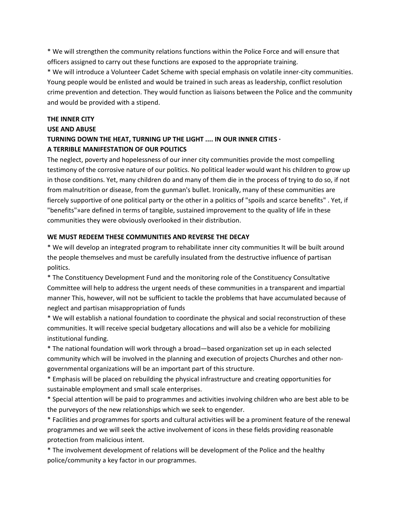\* We will strengthen the community relations functions within the Police Force and will ensure that officers assigned to carry out these functions are exposed to the appropriate training.

\* We will introduce a Volunteer Cadet Scheme with special emphasis on volatile inner-city communities. Young people would be enlisted and would be trained in such areas as leadership, conflict resolution crime prevention and detection. They would function as liaisons between the Police and the community and would be provided with a stipend.

#### **THE INNER CITY**

#### **USE AND ABUSE**

### **TURNING DOWN THE HEAT, TURNING UP THE LIGHT .... IN OUR INNER CITIES · A TERRIBLE MANIFESTATION OF OUR POLITICS**

The neglect, poverty and hopelessness of our inner city communities provide the most compelling testimony of the corrosive nature of our politics. No political leader would want his children to grow up in those conditions. Yet, many children do and many of them die in the process of trying to do so, if not from malnutrition or disease, from the gunman's bullet. Ironically, many of these communities are fiercely supportive of one political party or the other in a politics of "spoils and scarce benefits" . Yet, if "benefits"»are defined in terms of tangible, sustained improvement to the quality of life in these communities they were obviously overlooked in their distribution.

#### **WE MUST REDEEM THESE COMMUNITIES AND REVERSE THE DECAY**

\* We will develop an integrated program to rehabilitate inner city communities It will be built around the people themselves and must be carefully insulated from the destructive influence of partisan politics.

\* The Constituency Development Fund and the monitoring role of the Constituency Consultative Committee will help to address the urgent needs of these communities in a transparent and impartial manner This, however, will not be sufficient to tackle the problems that have accumulated because of neglect and partisan misappropriation of funds

\* We will establish a national foundation to coordinate the physical and social reconstruction of these communities. lt will receive special budgetary allocations and will also be a vehicle for mobilizing institutional funding.

\* The national foundation will work through a broad—based organization set up in each selected community which will be involved in the planning and execution of projects Churches and other nongovernmental organizations will be an important part of this structure.

\* Emphasis will be placed on rebuilding the physical infrastructure and creating opportunities for sustainable employment and small scale enterprises.

\* Special attention will be paid to programmes and activities involving children who are best able to be the purveyors of the new relationships which we seek to engender.

\* Facilities and programmes for sports and cultural activities will be a prominent feature of the renewal programmes and we will seek the active involvement of icons in these fields providing reasonable protection from malicious intent.

\* The involvement development of relations will be development of the Police and the healthy police/community a key factor in our programmes.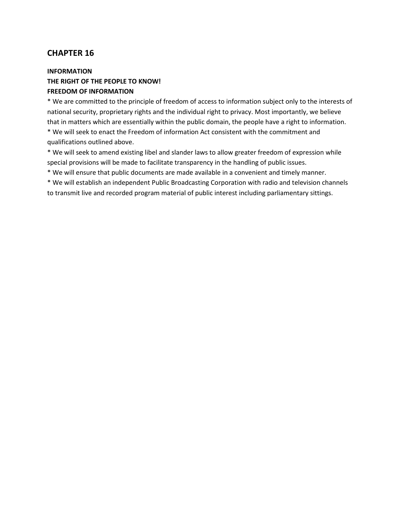### **INFORMATION THE RIGHT OF THE PEOPLE TO KNOW! FREEDOM OF INFORMATION**

\* We are committed to the principle of freedom of access to information subject only to the interests of national security, proprietary rights and the individual right to privacy. Most importantly, we believe that in matters which are essentially within the public domain, the people have a right to information.

\* We will seek to enact the Freedom of information Act consistent with the commitment and qualifications outlined above.

\* We will seek to amend existing libel and slander laws to allow greater freedom of expression while special provisions will be made to facilitate transparency in the handling of public issues.

\* We will ensure that public documents are made available in a convenient and timely manner.

\* We will establish an independent Public Broadcasting Corporation with radio and television channels to transmit live and recorded program material of public interest including parliamentary sittings.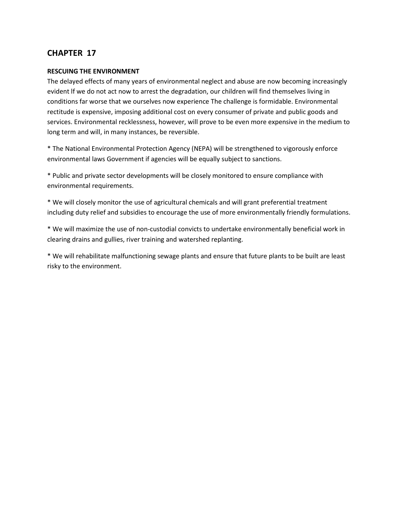#### **RESCUING THE ENVIRONMENT**

The delayed effects of many years of environmental neglect and abuse are now becoming increasingly evident lf we do not act now to arrest the degradation, our children will find themselves living in conditions far worse that we ourselves now experience The challenge is formidable. Environmental rectitude is expensive, imposing additional cost on every consumer of private and public goods and services. Environmental recklessness, however, will prove to be even more expensive in the medium to long term and will, in many instances, be reversible.

\* The National Environmental Protection Agency (NEPA) will be strengthened to vigorously enforce environmental laws Government if agencies will be equally subject to sanctions.

\* Public and private sector developments will be closely monitored to ensure compliance with environmental requirements.

\* We will closely monitor the use of agricultural chemicals and will grant preferential treatment including duty relief and subsidies to encourage the use of more environmentally friendly formulations.

\* We will maximize the use of non-custodial convicts to undertake environmentally beneficial work in clearing drains and gullies, river training and watershed replanting.

\* We will rehabilitate malfunctioning sewage plants and ensure that future plants to be built are least risky to the environment.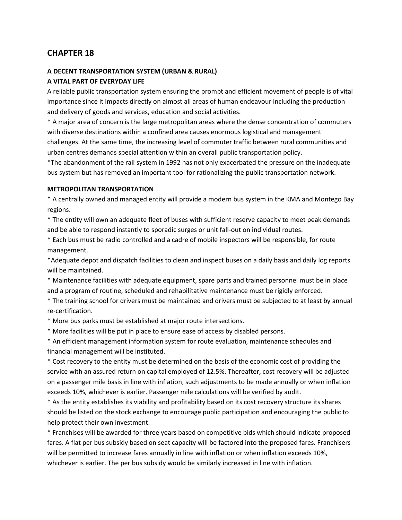#### **A DECENT TRANSPORTATION SYSTEM (URBAN & RURAL)**

#### **A VITAL PART OF EVERYDAY LIFE**

A reliable public transportation system ensuring the prompt and efficient movement of people is of vital importance since it impacts directly on almost all areas of human endeavour including the production and delivery of goods and services, education and social activities.

\* A major area of concern is the large metropolitan areas where the dense concentration of commuters with diverse destinations within a confined area causes enormous logistical and management challenges. At the same time, the increasing level of commuter traffic between rural communities and urban centres demands special attention within an overall public transportation policy.

\*The abandonment of the rail system in 1992 has not only exacerbated the pressure on the inadequate bus system but has removed an important tool for rationalizing the public transportation network.

#### **METROPOLITAN TRANSPORTATION**

\* A centrally owned and managed entity will provide a modern bus system in the KMA and Montego Bay regions.

\* The entity will own an adequate fleet of buses with sufficient reserve capacity to meet peak demands and be able to respond instantly to sporadic surges or unit fall-out on individual routes.

\* Each bus must be radio controlled and a cadre of mobile inspectors will be responsible, for route management.

\*Adequate depot and dispatch facilities to clean and inspect buses on a daily basis and daily log reports will be maintained.

\* Maintenance facilities with adequate equipment, spare parts and trained personnel must be in place and a program of routine, scheduled and rehabilitative maintenance must be rigidly enforced.

\* The training school for drivers must be maintained and drivers must be subjected to at least by annual re-certification.

\* More bus parks must be established at major route intersections.

\* More facilities will be put in place to ensure ease of access by disabled persons.

\* An efficient management information system for route evaluation, maintenance schedules and financial management will be instituted.

\* Cost recovery to the entity must be determined on the basis of the economic cost of providing the service with an assured return on capital employed of 12.5%. Thereafter, cost recovery will be adjusted on a passenger mile basis in line with inflation, such adjustments to be made annually or when inflation exceeds 10%, whichever is earlier. Passenger mile calculations will be verified by audit.

\* As the entity establishes its viability and profitability based on its cost recovery structure its shares should be listed on the stock exchange to encourage public participation and encouraging the public to help protect their own investment.

\* Franchises will be awarded for three years based on competitive bids which should indicate proposed fares. A flat per bus subsidy based on seat capacity will be factored into the proposed fares. Franchisers will be permitted to increase fares annually in line with inflation or when inflation exceeds 10%, whichever is earlier. The per bus subsidy would be similarly increased in line with inflation.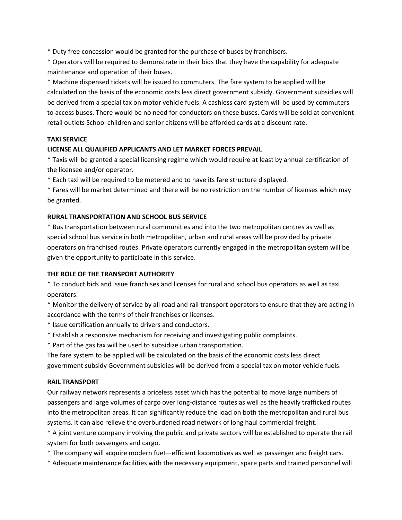\* Duty free concession would be granted for the purchase of buses by franchisers.

\* Operators will be required to demonstrate in their bids that they have the capability for adequate maintenance and operation of their buses.

\* Machine dispensed tickets will be issued to commuters. The fare system to be applied will be calculated on the basis of the economic costs less direct government subsidy. Government subsidies will be derived from a special tax on motor vehicle fuels. A cashless card system will be used by commuters to access buses. There would be no need for conductors on these buses. Cards will be sold at convenient retail outlets School children and senior citizens will be afforded cards at a discount rate.

### **TAXI SERVICE**

#### **LICENSE ALL QUALIFIED APPLICANTS AND LET MARKET FORCES PREVAIL**

\* Taxis will be granted a special licensing regime which would require at least by annual certification of the licensee and/or operator.

\* Each taxi will be required to be metered and to have its fare structure displayed.

\* Fares will be market determined and there will be no restriction on the number of licenses which may be granted.

#### **RURAL TRANSPORTATION AND SCHOOL BUS SERVICE**

\* Bus transportation between rural communities and into the two metropolitan centres as well as special school bus service in both metropolitan, urban and rural areas will be provided by private operators on franchised routes. Private operators currently engaged in the metropolitan system will be given the opportunity to participate in this service.

#### **THE ROLE OF THE TRANSPORT AUTHORITY**

\* To conduct bids and issue franchises and licenses for rural and school bus operators as well as taxi operators.

\* Monitor the delivery of service by all road and rail transport operators to ensure that they are acting in accordance with the terms of their franchises or licenses.

- \* Issue certification annually to drivers and conductors.
- \* Establish a responsive mechanism for receiving and investigating public complaints.
- \* Part of the gas tax will be used to subsidize urban transportation.

The fare system to be applied will be calculated on the basis of the economic costs less direct government subsidy Government subsidies will be derived from a special tax on motor vehicle fuels.

#### **RAIL TRANSPORT**

Our railway network represents a priceless asset which has the potential to move large numbers of passengers and large volumes of cargo over long-distance routes as well as the heavily trafficked routes into the metropolitan areas. lt can significantly reduce the load on both the metropolitan and rural bus systems. lt can also relieve the overburdened road network of long haul commercial freight.

\* A joint venture company involving the public and private sectors will be established to operate the rail system for both passengers and cargo.

\* The company will acquire modern fueI—efficient locomotives as well as passenger and freight cars.

\* Adequate maintenance facilities with the necessary equipment, spare parts and trained personnel will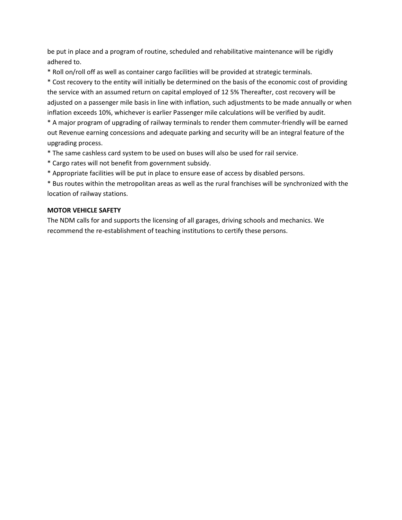be put in place and a program of routine, scheduled and rehabilitative maintenance will be rigidly adhered to.

\* Roll on/roll off as well as container cargo facilities will be provided at strategic terminals.

\* Cost recovery to the entity will initially be determined on the basis of the economic cost of providing the service with an assumed return on capital employed of 12 5% Thereafter, cost recovery will be adjusted on a passenger mile basis in line with inflation, such adjustments to be made annually or when inflation exceeds 10%, whichever is earlier Passenger mile calculations will be verified by audit.

\* A major program of upgrading of railway terminals to render them commuter-friendly will be earned out Revenue earning concessions and adequate parking and security will be an integral feature of the upgrading process.

\* The same cashless card system to be used on buses will also be used for rail service.

- \* Cargo rates will not benefit from government subsidy.
- \* Appropriate facilities will be put in place to ensure ease of access by disabled persons.

\* Bus routes within the metropolitan areas as well as the rural franchises will be synchronized with the location of railway stations.

#### **MOTOR VEHICLE SAFETY**

The NDM calls for and supports the licensing of all garages, driving schools and mechanics. We recommend the re-establishment of teaching institutions to certify these persons.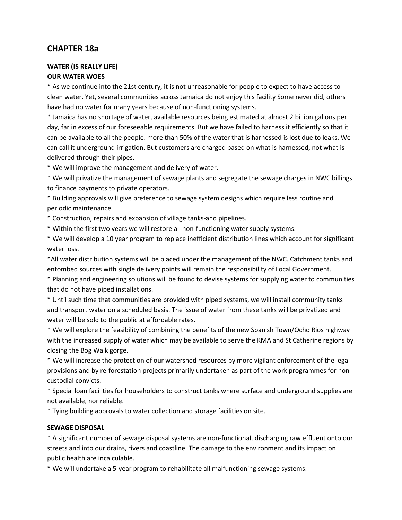# **CHAPTER 18a**

#### **WATER (IS REALLY LIFE) OUR WATER WOES**

\* As we continue into the 21st century, it is not unreasonable for people to expect to have access to clean water. Yet, several communities across Jamaica do not enjoy this facility Some never did, others have had no water for many years because of non-functioning systems.

\* Jamaica has no shortage of water, available resources being estimated at almost 2 billion gallons per day, far in excess of our foreseeable requirements. But we have failed to harness it efficiently so that it can be available to all the people. more than 50% of the water that is harnessed is lost due to leaks. We can call it underground irrigation. But customers are charged based on what is harnessed, not what is delivered through their pipes.

\* We will improve the management and delivery of water.

\* We will privatize the management of sewage plants and segregate the sewage charges in NWC billings to finance payments to private operators.

\* Building approvals will give preference to sewage system designs which require less routine and periodic maintenance.

\* Construction, repairs and expansion of village tanks-and pipelines.

\* Within the first two years we will restore all non-functioning water supply systems.

\* We will develop a 10 year program to replace inefficient distribution lines which account for significant water loss.

\*All water distribution systems will be placed under the management of the NWC. Catchment tanks and entombed sources with single delivery points will remain the responsibility of Local Government.

\* Planning and engineering solutions will be found to devise systems for supplying water to communities that do not have piped installations.

\* Until such time that communities are provided with piped systems, we will install community tanks and transport water on a scheduled basis. The issue of water from these tanks will be privatized and water will be sold to the public at affordable rates.

\* We will explore the feasibility of combining the benefits of the new Spanish Town/Ocho Rios highway with the increased supply of water which may be available to serve the KMA and St Catherine regions by closing the Bog Walk gorge.

\* We will increase the protection of our watershed resources by more vigilant enforcement of the legal provisions and by re-forestation projects primarily undertaken as part of the work programmes for noncustodiaI convicts.

\* Special loan facilities for householders to construct tanks where surface and underground supplies are not available, nor reliable.

\* Tying building approvals to water collection and storage facilities on site.

### **SEWAGE DISPOSAL**

\* A significant number of sewage disposal systems are non-functionaI, discharging raw effluent onto our streets and into our drains, rivers and coastline. The damage to the environment and its impact on public health are incalculable.

\* We will undertake a 5-year program to rehabilitate all malfunctioning sewage systems.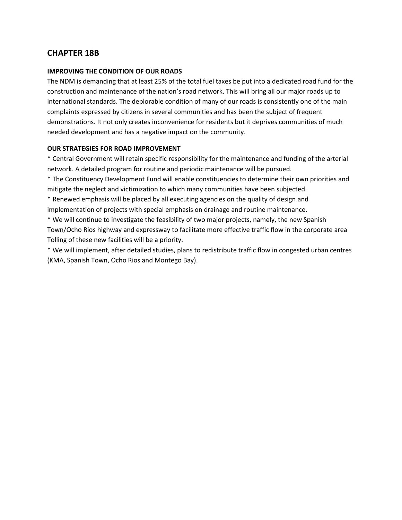# **CHAPTER 18B**

#### **IMPROVING THE CONDITION OF OUR ROADS**

The NDM is demanding that at least 25% of the total fuel taxes be put into a dedicated road fund for the construction and maintenance of the nation's road network. This will bring all our major roads up to international standards. The deplorable condition of many of our roads is consistently one of the main complaints expressed by citizens in several communities and has been the subject of frequent demonstrations. It not only creates inconvenience for residents but it deprives communities of much needed development and has a negative impact on the community.

#### **OUR STRATEGIES FOR ROAD IMPROVEMENT**

\* Central Government will retain specific responsibility for the maintenance and funding of the arterial network. A detailed program for routine and periodic maintenance will be pursued.

\* The Constituency Development Fund will enable constituencies to determine their own priorities and mitigate the neglect and victimization to which many communities have been subjected.

\* Renewed emphasis will be placed by all executing agencies on the quality of design and implementation of projects with special emphasis on drainage and routine maintenance.

\* We will continue to investigate the feasibility of two major projects, namely, the new Spanish Town/Ocho Rios highway and expressway to facilitate more effective traffic flow in the corporate area Tolling of these new facilities will be a priority.

\* We will implement, after detailed studies, plans to redistribute traffic flow in congested urban centres (KMA, Spanish Town, Ocho Rios and Montego Bay).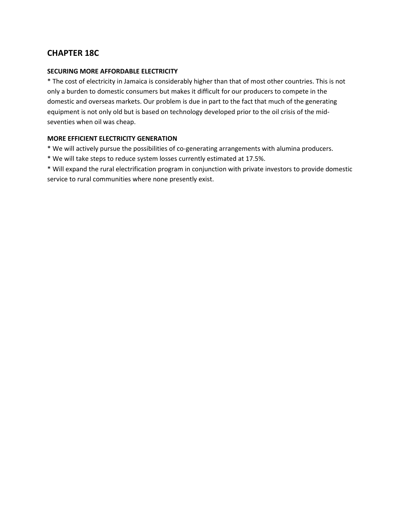# **CHAPTER 18C**

#### **SECURING MORE AFFORDABLE ELECTRICITY**

\* The cost of electricity in Jamaica is considerably higher than that of most other countries. This is not only a burden to domestic consumers but makes it difficult for our producers to compete in the domestic and overseas markets. Our problem is due in part to the fact that much of the generating equipment is not only old but is based on technology developed prior to the oil crisis of the midseventies when oil was cheap.

#### **MORE EFFICIENT ELECTRICITY GENERATION**

- \* We will actively pursue the possibilities of co-generating arrangements with alumina producers.
- \* We will take steps to reduce system losses currently estimated at 17.5%.
- \* Will expand the rural electrification program in conjunction with private investors to provide domestic service to rural communities where none presently exist.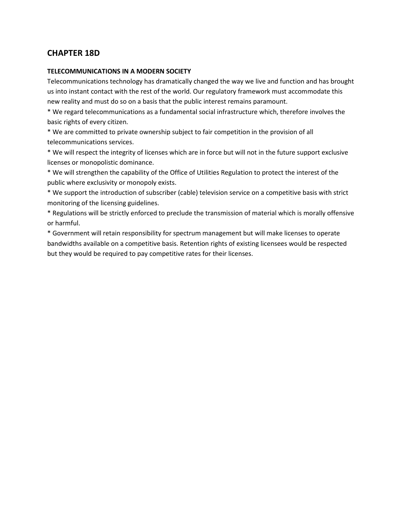# **CHAPTER 18D**

#### **TELECOMMUNICATIONS IN A MODERN SOCIETY**

Telecommunications technology has dramatically changed the way we live and function and has brought us into instant contact with the rest of the world. Our regulatory framework must accommodate this new reality and must do so on a basis that the public interest remains paramount.

\* We regard telecommunications as a fundamental social infrastructure which, therefore involves the basic rights of every citizen.

\* We are committed to private ownership subject to fair competition in the provision of all telecommunications services.

\* We will respect the integrity of licenses which are in force but will not in the future support exclusive licenses or monopolistic dominance.

\* We will strengthen the capability of the Office of Utilities Regulation to protect the interest of the public where exclusivity or monopoly exists.

\* We support the introduction of subscriber (cable) television service on a competitive basis with strict monitoring of the licensing guidelines.

\* Regulations will be strictly enforced to preclude the transmission of material which is morally offensive or harmful.

\* Government will retain responsibility for spectrum management but will make licenses to operate bandwidths available on a competitive basis. Retention rights of existing licensees would be respected but they would be required to pay competitive rates for their licenses.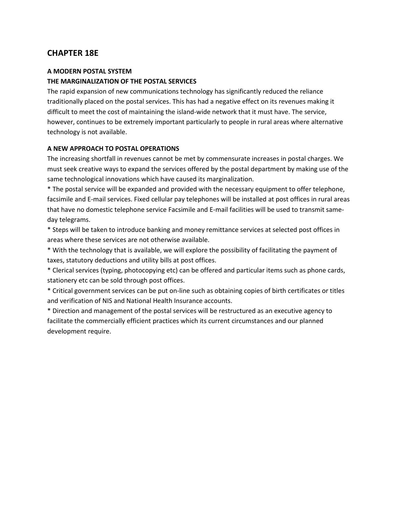# **CHAPTER 18E**

#### **A MODERN POSTAL SYSTEM**

#### **THE MARGINALIZATION OF THE POSTAL SERVICES**

The rapid expansion of new communications technology has significantly reduced the reliance traditionally placed on the postal services. This has had a negative effect on its revenues making it difficult to meet the cost of maintaining the island-wide network that it must have. The service, however, continues to be extremely important particularly to people in rural areas where alternative technology is not available.

#### **A NEW APPROACH TO POSTAL OPERATIONS**

The increasing shortfall in revenues cannot be met by commensurate increases in postal charges. We must seek creative ways to expand the services offered by the postal department by making use of the same technological innovations which have caused its marginalization.

\* The postal service will be expanded and provided with the necessary equipment to offer telephone, facsimile and E-mail services. Fixed cellular pay telephones will be installed at post offices in rural areas that have no domestic telephone service Facsimile and E-mail facilities will be used to transmit sameday telegrams.

\* Steps will be taken to introduce banking and money remittance services at selected post offices in areas where these services are not otherwise available.

\* With the technology that is available, we will explore the possibility of facilitating the payment of taxes, statutory deductions and utility bills at post offices.

\* Clerical services (typing, photocopying etc) can be offered and particular items such as phone cards, stationery etc can be sold through post offices.

\* Critical government services can be put on-line such as obtaining copies of birth certificates or titles and verification of NIS and National Health Insurance accounts.

\* Direction and management of the postal services will be restructured as an executive agency to facilitate the commercially efficient practices which its current circumstances and our planned development require.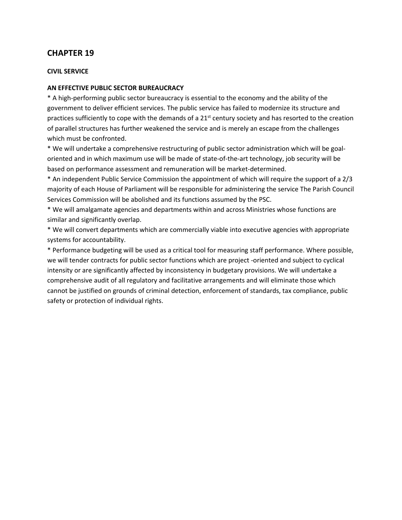# **CHAPTER 19**

#### **CIVIL SERVICE**

#### **AN EFFECTIVE PUBLIC SECTOR BUREAUCRACY**

\* A high-performing public sector bureaucracy is essential to the economy and the ability of the government to deliver efficient services. The public service has failed to modernize its structure and practices sufficiently to cope with the demands of a 21st century society and has resorted to the creation of parallel structures has further weakened the service and is merely an escape from the challenges which must be confronted.

\* We will undertake a comprehensive restructuring of public sector administration which will be goaloriented and in which maximum use will be made of state-of-the-art technology, job security will be based on performance assessment and remuneration will be market-determined.

\* An independent Public Service Commission the appointment of which will require the support of a 2/3 majority of each House of Parliament will be responsible for administering the service The Parish Council Services Commission will be abolished and its functions assumed by the PSC.

\* We will amalgamate agencies and departments within and across Ministries whose functions are similar and significantly overlap.

\* We will convert departments which are commercially viable into executive agencies with appropriate systems for accountability.

\* Performance budgeting will be used as a critical tool for measuring staff performance. Where possible, we will tender contracts for public sector functions which are project -oriented and subject to cyclical intensity or are significantly affected by inconsistency in budgetary provisions. We will undertake a comprehensive audit of all regulatory and facilitative arrangements and will eliminate those which cannot be justified on grounds of criminal detection, enforcement of standards, tax compliance, public safety or protection of individual rights.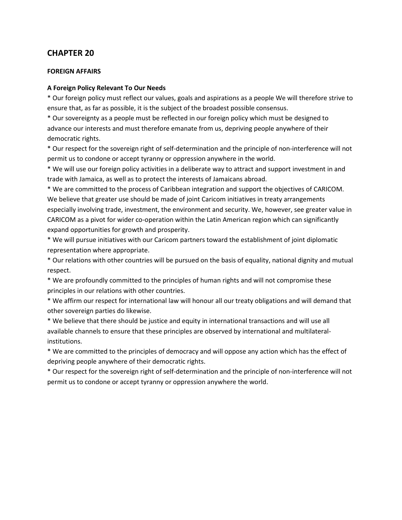# **CHAPTER 20**

#### **FOREIGN AFFAIRS**

#### **A Foreign Policy Relevant To Our Needs**

\* Our foreign policy must reflect our values, goals and aspirations as a people We will therefore strive to ensure that, as far as possible, it is the subject of the broadest possible consensus.

\* Our sovereignty as a people must be reflected in our foreign policy which must be designed to advance our interests and must therefore emanate from us, depriving people anywhere of their democratic rights.

\* Our respect for the sovereign right of self-determination and the principle of non-interference will not permit us to condone or accept tyranny or oppression anywhere in the world.

\* We will use our foreign policy activities in a deliberate way to attract and support investment in and trade with Jamaica, as well as to protect the interests of Jamaicans abroad.

\* We are committed to the process of Caribbean integration and support the objectives of CARICOM. We believe that greater use should be made of joint Caricom initiatives in treaty arrangements especially involving trade, investment, the environment and security. We, however, see greater value in CARICOM as a pivot for wider co-operation within the Latin American region which can significantly expand opportunities for growth and prosperity.

\* We will pursue initiatives with our Caricom partners toward the establishment of joint diplomatic representation where appropriate.

\* Our relations with other countries will be pursued on the basis of equality, national dignity and mutual respect.

\* We are profoundly committed to the principles of human rights and will not compromise these principles in our relations with other countries.

\* We affirm our respect for international law will honour all our treaty obligations and will demand that other sovereign parties do likewise.

\* We believe that there should be justice and equity in international transactions and will use all available channels to ensure that these principles are observed by international and multilateralinstitutions.

\* We are committed to the principles of democracy and will oppose any action which has the effect of depriving people anywhere of their democratic rights.

\* Our respect for the sovereign right of self-determination and the principle of non-interference will not permit us to condone or accept tyranny or oppression anywhere the world.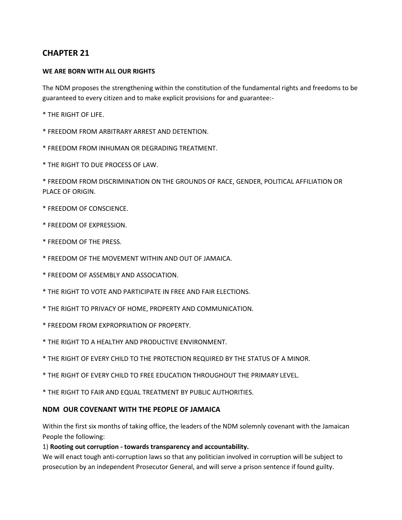# **CHAPTER 21**

### **WE ARE BORN WITH ALL OUR RIGHTS**

The NDM proposes the strengthening within the constitution of the fundamental rights and freedoms to be guaranteed to every citizen and to make explicit provisions for and guarantee:-

\* THE RIGHT OF LIFE.

- \* FREEDOM FROM ARBITRARY ARREST AND DETENTION.
- \* FREEDOM FROM INHUMAN OR DEGRADING TREATMENT.
- \* THE RIGHT TO DUE PROCESS OF LAW.

\* FREEDOM FROM DISCRIMINATION ON THE GROUNDS OF RACE, GENDER, POLITICAL AFFILIATION OR PLACE OF ORIGIN.

- \* FREEDOM OF CONSCIENCE.
- \* FREEDOM OF EXPRESSION.
- \* FREEDOM OF THE PRESS.
- \* FREEDOM OF THE MOVEMENT WITHIN AND OUT OF JAMAICA.
- \* FREEDOM OF ASSEMBLY AND ASSOCIATION.
- \* THE RIGHT TO VOTE AND PARTICIPATE IN FREE AND FAIR ELECTIONS.
- \* THE RIGHT TO PRIVACY OF HOME, PROPERTY AND COMMUNICATION.
- \* FREEDOM FROM EXPROPRIATION OF PROPERTY.
- \* THE RIGHT TO A HEALTHY AND PRODUCTIVE ENVIRONMENT.
- \* THE RIGHT OF EVERY CHILD TO THE PROTECTION REQUIRED BY THE STATUS OF A MINOR.
- \* THE RIGHT OF EVERY CHILD TO FREE EDUCATION THROUGHOUT THE PRIMARY LEVEL.
- \* THE RIGHT TO FAIR AND EQUAL TREATMENT BY PUBLIC AUTHORITIES.

#### **NDM OUR COVENANT WITH THE PEOPLE OF JAMAICA**

Within the first six months of taking office, the leaders of the NDM solemnly covenant with the Jamaican People the following:

#### 1) **Rooting out corruption - towards transparency and accountability.**

We will enact tough anti-corruption laws so that any politician involved in corruption will be subject to prosecution by an independent Prosecutor General, and will serve a prison sentence if found guilty.